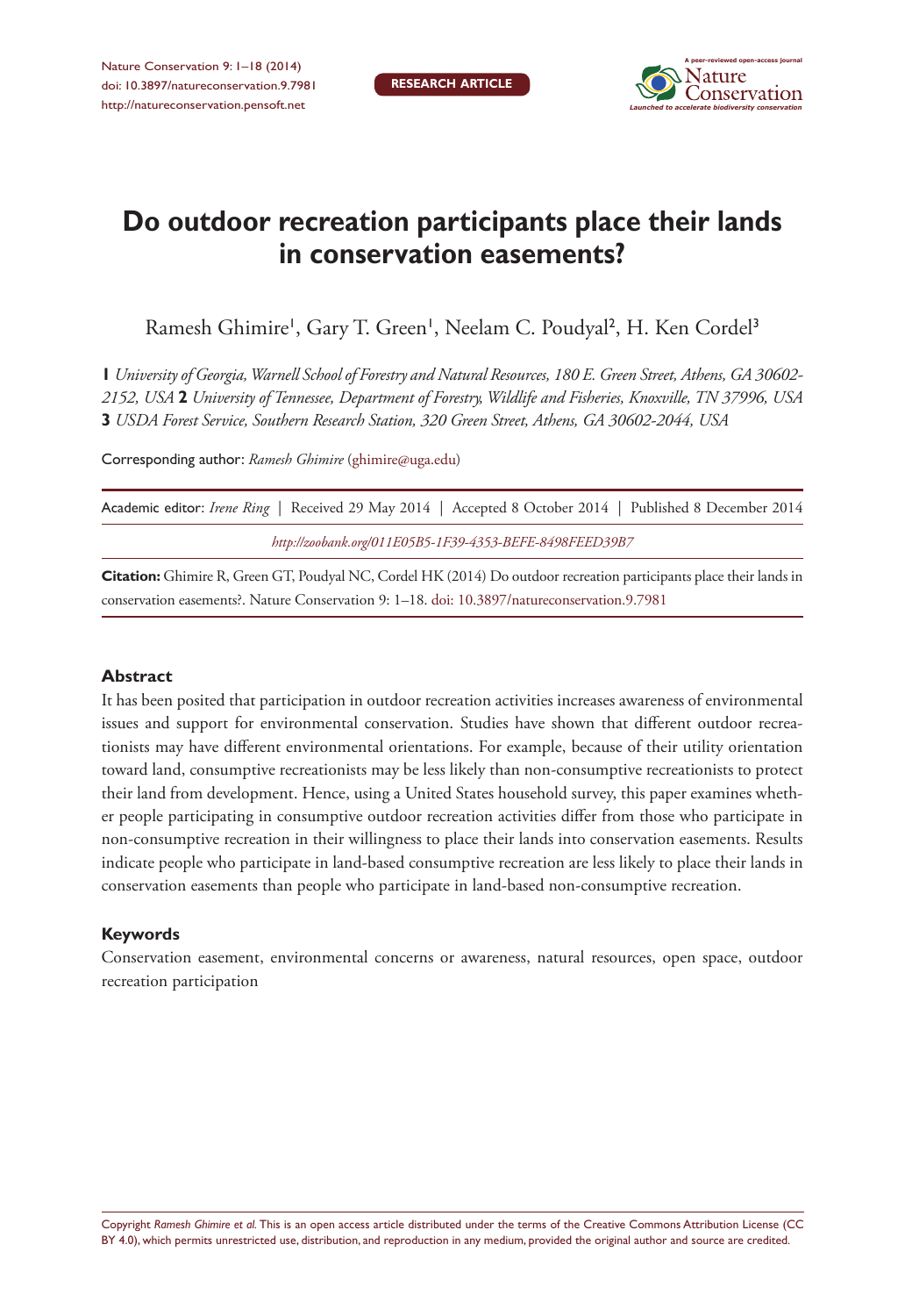

# **Do outdoor recreation participants place their lands in conservation easements?**

Ramesh Ghimire', Gary T. Green', Neelam C. Poudyal<sup>2</sup>, H. Ken Cordel<sup>3</sup>

**1** *University of Georgia, Warnell School of Forestry and Natural Resources, 180 E. Green Street, Athens, GA 30602- 2152, USA* **2** *University of Tennessee, Department of Forestry, Wildlife and Fisheries, Knoxville, TN 37996, USA*  **3** *USDA Forest Service, Southern Research Station, 320 Green Street, Athens, GA 30602-2044, USA*

Corresponding author: *Ramesh Ghimire* [\(ghimire@uga.edu\)](mailto:ghimire@uga.edu)

| Academic editor: Irene Ring   Received 29 May 2014   Accepted 8 October 2014   Published 8 December 2014 |  |  |  |  |  |  |
|----------------------------------------------------------------------------------------------------------|--|--|--|--|--|--|
| http://zoobank.org/011E05B5-1F39-4353-BEFE-8498FEED39B7                                                  |  |  |  |  |  |  |

**Citation:** Ghimire R, Green GT, Poudyal NC, Cordel HK (2014) Do outdoor recreation participants place their lands in conservation easements?. Nature Conservation 9: 1–18. [doi: 10.3897/natureconservation.9.7981](http://dx.doi.org/10.3897/natureconservation.9.7981)

#### **Abstract**

It has been posited that participation in outdoor recreation activities increases awareness of environmental issues and support for environmental conservation. Studies have shown that different outdoor recreationists may have different environmental orientations. For example, because of their utility orientation toward land, consumptive recreationists may be less likely than non-consumptive recreationists to protect their land from development. Hence, using a United States household survey, this paper examines whether people participating in consumptive outdoor recreation activities differ from those who participate in non-consumptive recreation in their willingness to place their lands into conservation easements. Results indicate people who participate in land-based consumptive recreation are less likely to place their lands in conservation easements than people who participate in land-based non-consumptive recreation.

#### **Keywords**

Conservation easement, environmental concerns or awareness, natural resources, open space, outdoor recreation participation

Copyright *Ramesh Ghimire et al.* This is an open access article distributed under the terms of the [Creative Commons Attribution License \(CC](http://creativecommons.org/licenses/by/4.0/)  [BY 4.0\)](http://creativecommons.org/licenses/by/4.0/), which permits unrestricted use, distribution, and reproduction in any medium, provided the original author and source are credited.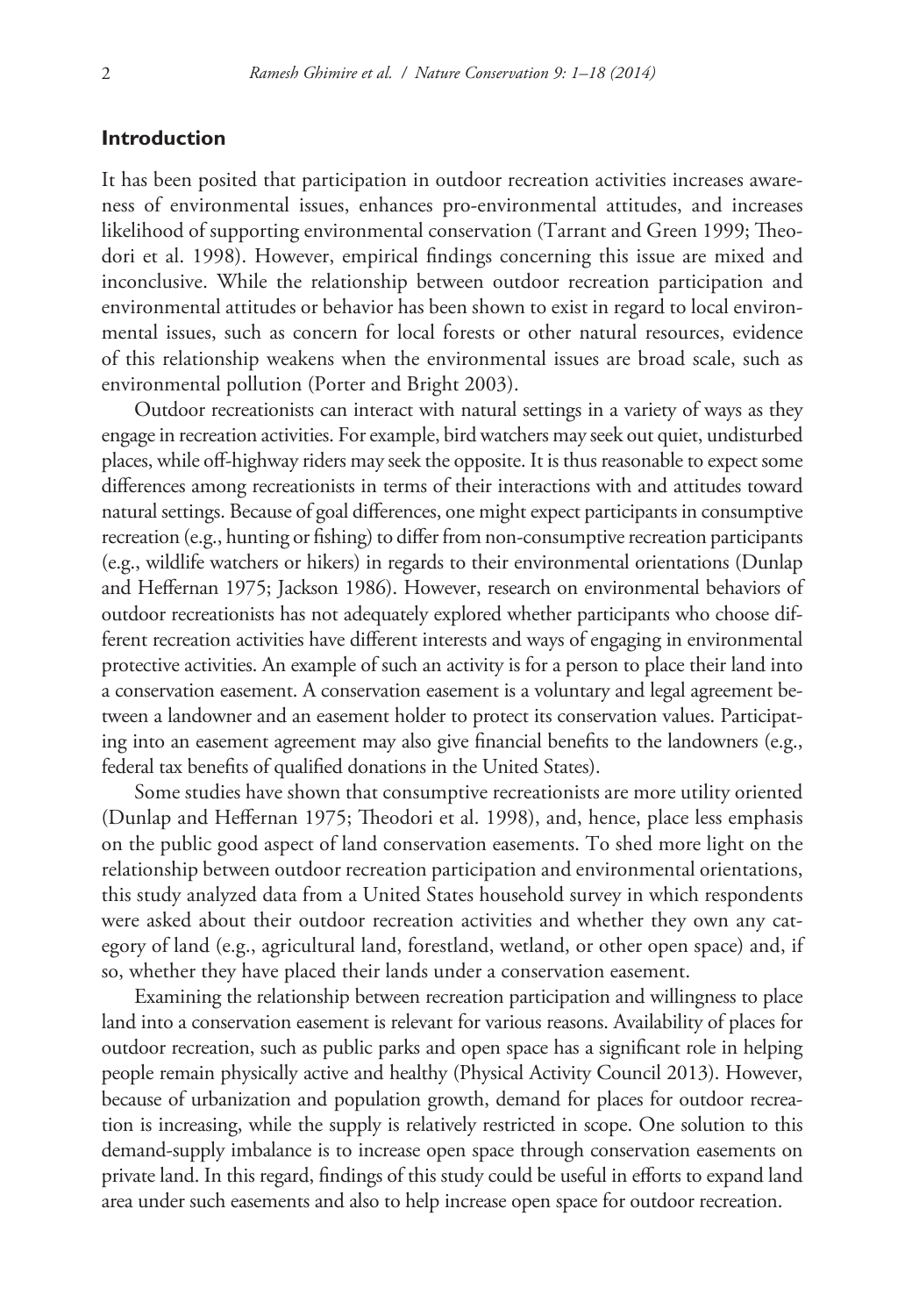#### **Introduction**

It has been posited that participation in outdoor recreation activities increases awareness of environmental issues, enhances pro-environmental attitudes, and increases likelihood of supporting environmental conservation (Tarrant and Green 1999; Theodori et al. 1998). However, empirical findings concerning this issue are mixed and inconclusive. While the relationship between outdoor recreation participation and environmental attitudes or behavior has been shown to exist in regard to local environmental issues, such as concern for local forests or other natural resources, evidence of this relationship weakens when the environmental issues are broad scale, such as environmental pollution (Porter and Bright 2003).

Outdoor recreationists can interact with natural settings in a variety of ways as they engage in recreation activities. For example, bird watchers may seek out quiet, undisturbed places, while off-highway riders may seek the opposite. It is thus reasonable to expect some differences among recreationists in terms of their interactions with and attitudes toward natural settings. Because of goal differences, one might expect participants in consumptive recreation (e.g., hunting or fishing) to differ from non-consumptive recreation participants (e.g., wildlife watchers or hikers) in regards to their environmental orientations (Dunlap and Heffernan 1975; Jackson 1986). However, research on environmental behaviors of outdoor recreationists has not adequately explored whether participants who choose different recreation activities have different interests and ways of engaging in environmental protective activities. An example of such an activity is for a person to place their land into a conservation easement. A conservation easement is a voluntary and legal agreement between a landowner and an easement holder to protect its conservation values. Participating into an easement agreement may also give financial benefits to the landowners (e.g., federal tax benefits of qualified donations in the United States).

Some studies have shown that consumptive recreationists are more utility oriented (Dunlap and Heffernan 1975; Theodori et al. 1998), and, hence, place less emphasis on the public good aspect of land conservation easements. To shed more light on the relationship between outdoor recreation participation and environmental orientations, this study analyzed data from a United States household survey in which respondents were asked about their outdoor recreation activities and whether they own any category of land (e.g., agricultural land, forestland, wetland, or other open space) and, if so, whether they have placed their lands under a conservation easement.

Examining the relationship between recreation participation and willingness to place land into a conservation easement is relevant for various reasons. Availability of places for outdoor recreation, such as public parks and open space has a significant role in helping people remain physically active and healthy (Physical Activity Council 2013). However, because of urbanization and population growth, demand for places for outdoor recreation is increasing, while the supply is relatively restricted in scope. One solution to this demand-supply imbalance is to increase open space through conservation easements on private land. In this regard, findings of this study could be useful in efforts to expand land area under such easements and also to help increase open space for outdoor recreation.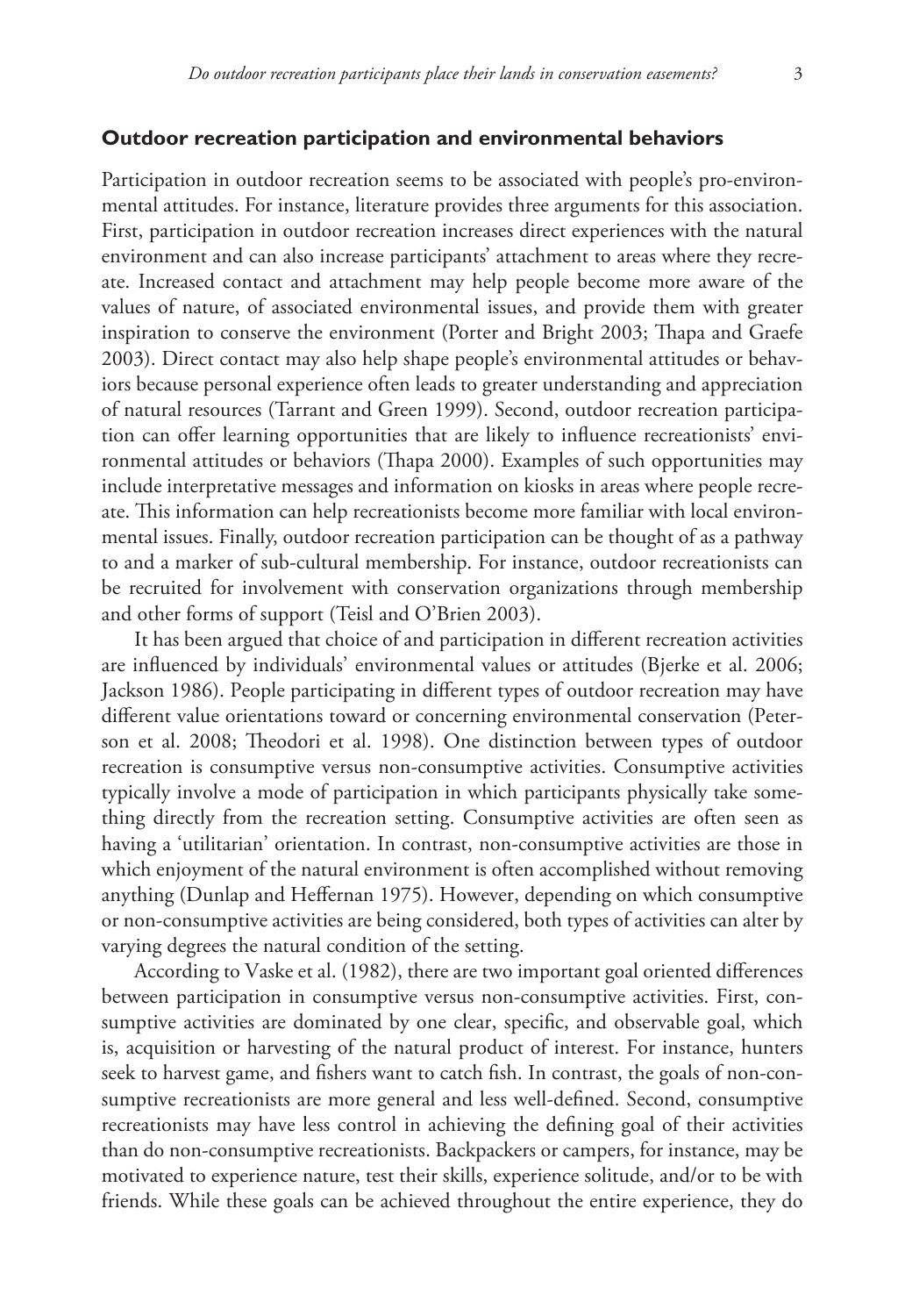#### **Outdoor recreation participation and environmental behaviors**

Participation in outdoor recreation seems to be associated with people's pro-environmental attitudes. For instance, literature provides three arguments for this association. First, participation in outdoor recreation increases direct experiences with the natural environment and can also increase participants' attachment to areas where they recreate. Increased contact and attachment may help people become more aware of the values of nature, of associated environmental issues, and provide them with greater inspiration to conserve the environment (Porter and Bright 2003; Thapa and Graefe 2003). Direct contact may also help shape people's environmental attitudes or behaviors because personal experience often leads to greater understanding and appreciation of natural resources (Tarrant and Green 1999). Second, outdoor recreation participation can offer learning opportunities that are likely to influence recreationists' environmental attitudes or behaviors (Thapa 2000). Examples of such opportunities may include interpretative messages and information on kiosks in areas where people recreate. This information can help recreationists become more familiar with local environmental issues. Finally, outdoor recreation participation can be thought of as a pathway to and a marker of sub-cultural membership. For instance, outdoor recreationists can be recruited for involvement with conservation organizations through membership and other forms of support (Teisl and O'Brien 2003).

It has been argued that choice of and participation in different recreation activities are influenced by individuals' environmental values or attitudes (Bjerke et al. 2006; Jackson 1986). People participating in different types of outdoor recreation may have different value orientations toward or concerning environmental conservation (Peterson et al. 2008; Theodori et al. 1998). One distinction between types of outdoor recreation is consumptive versus non-consumptive activities. Consumptive activities typically involve a mode of participation in which participants physically take something directly from the recreation setting. Consumptive activities are often seen as having a 'utilitarian' orientation. In contrast, non-consumptive activities are those in which enjoyment of the natural environment is often accomplished without removing anything (Dunlap and Heffernan 1975). However, depending on which consumptive or non-consumptive activities are being considered, both types of activities can alter by varying degrees the natural condition of the setting.

According to Vaske et al. (1982), there are two important goal oriented differences between participation in consumptive versus non-consumptive activities. First, consumptive activities are dominated by one clear, specific, and observable goal, which is, acquisition or harvesting of the natural product of interest. For instance, hunters seek to harvest game, and fishers want to catch fish. In contrast, the goals of non-consumptive recreationists are more general and less well-defined. Second, consumptive recreationists may have less control in achieving the defining goal of their activities than do non-consumptive recreationists. Backpackers or campers, for instance, may be motivated to experience nature, test their skills, experience solitude, and/or to be with friends. While these goals can be achieved throughout the entire experience, they do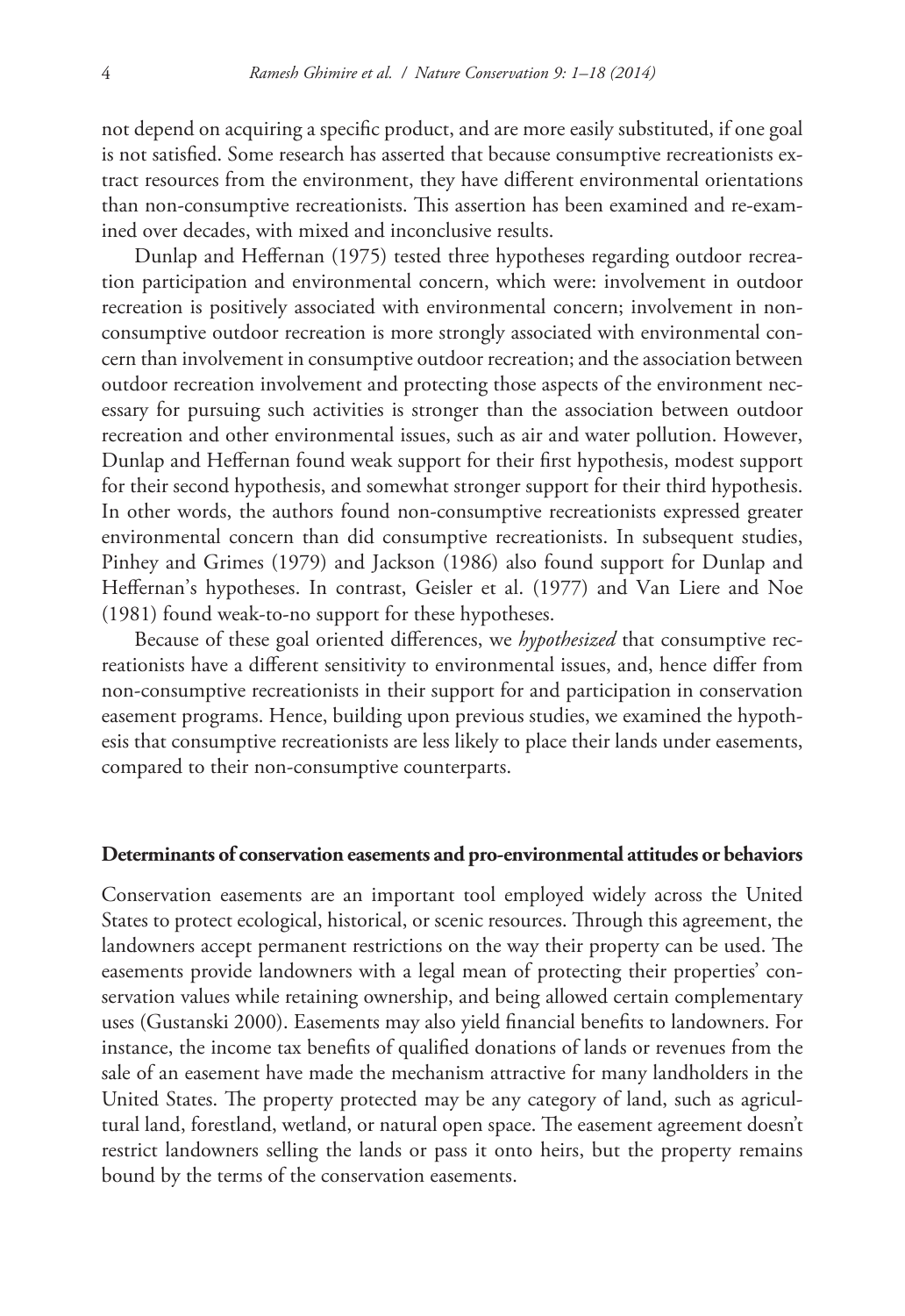not depend on acquiring a specific product, and are more easily substituted, if one goal is not satisfied. Some research has asserted that because consumptive recreationists extract resources from the environment, they have different environmental orientations than non-consumptive recreationists. This assertion has been examined and re-examined over decades, with mixed and inconclusive results.

Dunlap and Heffernan (1975) tested three hypotheses regarding outdoor recreation participation and environmental concern, which were: involvement in outdoor recreation is positively associated with environmental concern; involvement in nonconsumptive outdoor recreation is more strongly associated with environmental concern than involvement in consumptive outdoor recreation; and the association between outdoor recreation involvement and protecting those aspects of the environment necessary for pursuing such activities is stronger than the association between outdoor recreation and other environmental issues, such as air and water pollution. However, Dunlap and Heffernan found weak support for their first hypothesis, modest support for their second hypothesis, and somewhat stronger support for their third hypothesis. In other words, the authors found non-consumptive recreationists expressed greater environmental concern than did consumptive recreationists. In subsequent studies, Pinhey and Grimes (1979) and Jackson (1986) also found support for Dunlap and Heffernan's hypotheses. In contrast, Geisler et al. (1977) and Van Liere and Noe (1981) found weak-to-no support for these hypotheses.

Because of these goal oriented differences, we *hypothesized* that consumptive recreationists have a different sensitivity to environmental issues, and, hence differ from non-consumptive recreationists in their support for and participation in conservation easement programs. Hence, building upon previous studies, we examined the hypothesis that consumptive recreationists are less likely to place their lands under easements, compared to their non-consumptive counterparts.

#### **Determinants of conservation easements and pro-environmental attitudes or behaviors**

Conservation easements are an important tool employed widely across the United States to protect ecological, historical, or scenic resources. Through this agreement, the landowners accept permanent restrictions on the way their property can be used. The easements provide landowners with a legal mean of protecting their properties' conservation values while retaining ownership, and being allowed certain complementary uses (Gustanski 2000). Easements may also yield financial benefits to landowners. For instance, the income tax benefits of qualified donations of lands or revenues from the sale of an easement have made the mechanism attractive for many landholders in the United States. The property protected may be any category of land, such as agricultural land, forestland, wetland, or natural open space. The easement agreement doesn't restrict landowners selling the lands or pass it onto heirs, but the property remains bound by the terms of the conservation easements.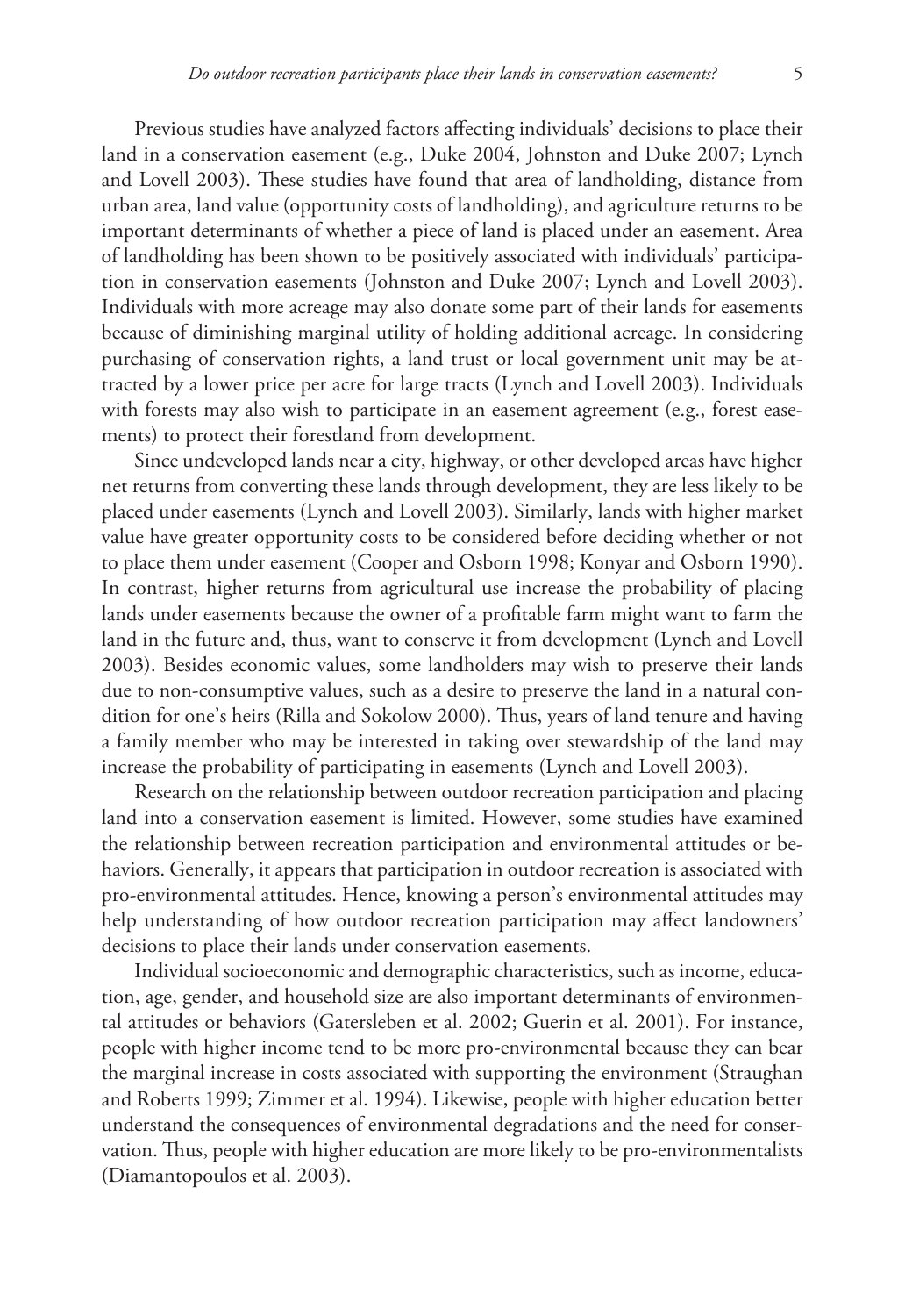Previous studies have analyzed factors affecting individuals' decisions to place their land in a conservation easement (e.g., Duke 2004, Johnston and Duke 2007; Lynch and Lovell 2003). These studies have found that area of landholding, distance from urban area, land value (opportunity costs of landholding), and agriculture returns to be important determinants of whether a piece of land is placed under an easement. Area of landholding has been shown to be positively associated with individuals' participation in conservation easements (Johnston and Duke 2007; Lynch and Lovell 2003). Individuals with more acreage may also donate some part of their lands for easements because of diminishing marginal utility of holding additional acreage. In considering purchasing of conservation rights, a land trust or local government unit may be attracted by a lower price per acre for large tracts (Lynch and Lovell 2003). Individuals with forests may also wish to participate in an easement agreement (e.g., forest easements) to protect their forestland from development.

Since undeveloped lands near a city, highway, or other developed areas have higher net returns from converting these lands through development, they are less likely to be placed under easements (Lynch and Lovell 2003). Similarly, lands with higher market value have greater opportunity costs to be considered before deciding whether or not to place them under easement (Cooper and Osborn 1998; Konyar and Osborn 1990). In contrast, higher returns from agricultural use increase the probability of placing lands under easements because the owner of a profitable farm might want to farm the land in the future and, thus, want to conserve it from development (Lynch and Lovell 2003). Besides economic values, some landholders may wish to preserve their lands due to non-consumptive values, such as a desire to preserve the land in a natural condition for one's heirs (Rilla and Sokolow 2000). Thus, years of land tenure and having a family member who may be interested in taking over stewardship of the land may increase the probability of participating in easements (Lynch and Lovell 2003).

Research on the relationship between outdoor recreation participation and placing land into a conservation easement is limited. However, some studies have examined the relationship between recreation participation and environmental attitudes or behaviors. Generally, it appears that participation in outdoor recreation is associated with pro-environmental attitudes. Hence, knowing a person's environmental attitudes may help understanding of how outdoor recreation participation may affect landowners' decisions to place their lands under conservation easements.

Individual socioeconomic and demographic characteristics, such as income, education, age, gender, and household size are also important determinants of environmental attitudes or behaviors (Gatersleben et al. 2002; Guerin et al. 2001). For instance, people with higher income tend to be more pro-environmental because they can bear the marginal increase in costs associated with supporting the environment (Straughan and Roberts 1999; Zimmer et al. 1994). Likewise, people with higher education better understand the consequences of environmental degradations and the need for conservation. Thus, people with higher education are more likely to be pro-environmentalists (Diamantopoulos et al. 2003).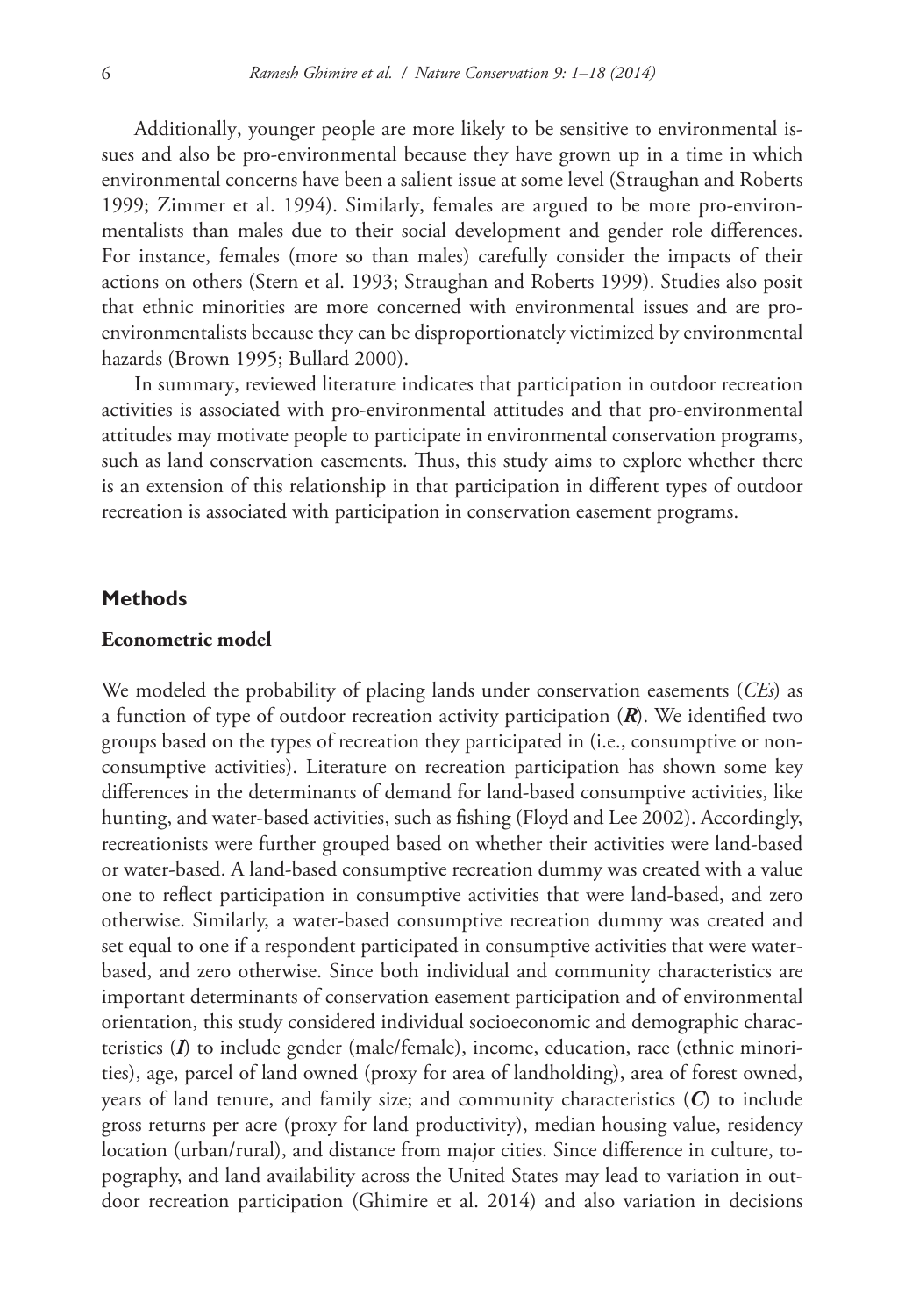Additionally, younger people are more likely to be sensitive to environmental issues and also be pro-environmental because they have grown up in a time in which environmental concerns have been a salient issue at some level (Straughan and Roberts 1999; Zimmer et al. 1994). Similarly, females are argued to be more pro-environmentalists than males due to their social development and gender role differences. For instance, females (more so than males) carefully consider the impacts of their actions on others (Stern et al. 1993; Straughan and Roberts 1999). Studies also posit that ethnic minorities are more concerned with environmental issues and are proenvironmentalists because they can be disproportionately victimized by environmental hazards (Brown 1995; Bullard 2000).

In summary, reviewed literature indicates that participation in outdoor recreation activities is associated with pro-environmental attitudes and that pro-environmental attitudes may motivate people to participate in environmental conservation programs, such as land conservation easements. Thus, this study aims to explore whether there is an extension of this relationship in that participation in different types of outdoor recreation is associated with participation in conservation easement programs.

#### **Methods**

#### **Econometric model**

We modeled the probability of placing lands under conservation easements (*CEs*) as a function of type of outdoor recreation activity participation (*R*). We identified two groups based on the types of recreation they participated in (i.e., consumptive or nonconsumptive activities). Literature on recreation participation has shown some key differences in the determinants of demand for land-based consumptive activities, like hunting, and water-based activities, such as fishing (Floyd and Lee 2002). Accordingly, recreationists were further grouped based on whether their activities were land-based or water-based. A land-based consumptive recreation dummy was created with a value one to reflect participation in consumptive activities that were land-based, and zero otherwise. Similarly, a water-based consumptive recreation dummy was created and set equal to one if a respondent participated in consumptive activities that were waterbased, and zero otherwise. Since both individual and community characteristics are important determinants of conservation easement participation and of environmental orientation, this study considered individual socioeconomic and demographic characteristics (*I*) to include gender (male/female), income, education, race (ethnic minorities), age, parcel of land owned (proxy for area of landholding), area of forest owned, years of land tenure, and family size; and community characteristics (*C*) to include gross returns per acre (proxy for land productivity), median housing value, residency location (urban/rural), and distance from major cities. Since difference in culture, topography, and land availability across the United States may lead to variation in outdoor recreation participation (Ghimire et al. 2014) and also variation in decisions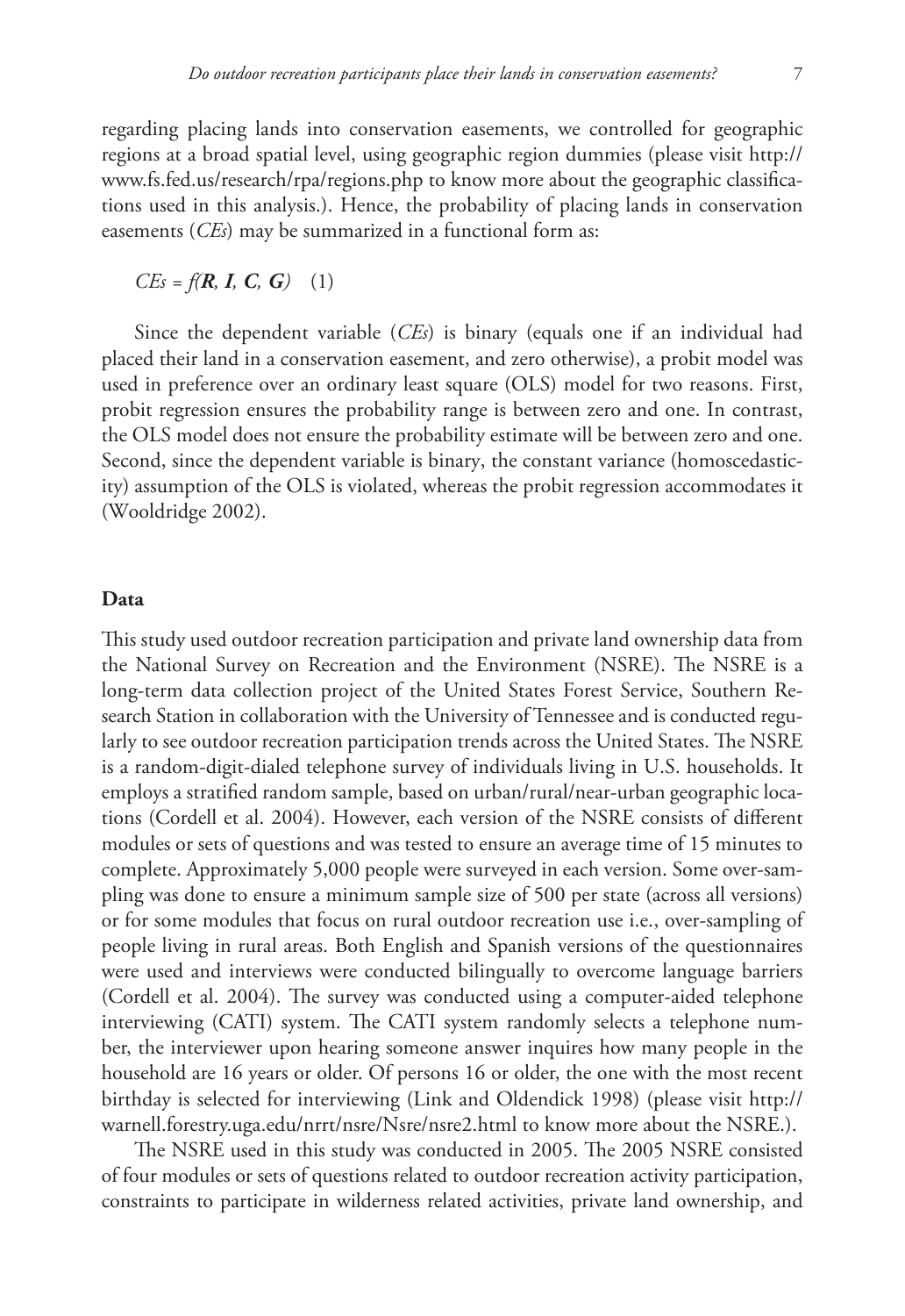regarding placing lands into conservation easements, we controlled for geographic regions at a broad spatial level, using geographic region dummies (please visit [http://](http://www.fs.fed.us/research/rpa/regions.php) [www.fs.fed.us/research/rpa/regions.php](http://www.fs.fed.us/research/rpa/regions.php) to know more about the geographic classifications used in this analysis.). Hence, the probability of placing lands in conservation easements (*CEs*) may be summarized in a functional form as:

*CEs = f(R, I, C, G)* (1)

Since the dependent variable (*CEs*) is binary (equals one if an individual had placed their land in a conservation easement, and zero otherwise), a probit model was used in preference over an ordinary least square (OLS) model for two reasons. First, probit regression ensures the probability range is between zero and one. In contrast, the OLS model does not ensure the probability estimate will be between zero and one. Second, since the dependent variable is binary, the constant variance (homoscedasticity) assumption of the OLS is violated, whereas the probit regression accommodates it (Wooldridge 2002).

#### **Data**

This study used outdoor recreation participation and private land ownership data from the National Survey on Recreation and the Environment (NSRE). The NSRE is a long-term data collection project of the United States Forest Service, Southern Research Station in collaboration with the University of Tennessee and is conducted regularly to see outdoor recreation participation trends across the United States. The NSRE is a random-digit-dialed telephone survey of individuals living in U.S. households. It employs a stratified random sample, based on urban/rural/near-urban geographic locations (Cordell et al. 2004). However, each version of the NSRE consists of different modules or sets of questions and was tested to ensure an average time of 15 minutes to complete. Approximately 5,000 people were surveyed in each version. Some over-sampling was done to ensure a minimum sample size of 500 per state (across all versions) or for some modules that focus on rural outdoor recreation use i.e., over-sampling of people living in rural areas. Both English and Spanish versions of the questionnaires were used and interviews were conducted bilingually to overcome language barriers (Cordell et al. 2004). The survey was conducted using a computer-aided telephone interviewing (CATI) system. The CATI system randomly selects a telephone number, the interviewer upon hearing someone answer inquires how many people in the household are 16 years or older. Of persons 16 or older, the one with the most recent birthday is selected for interviewing (Link and Oldendick 1998) (please visit [http://](http://warnell.forestry.uga.edu/nrrt/nsre/Nsre/nsre2.html) [warnell.forestry.uga.edu/nrrt/nsre/Nsre/nsre2.html](http://warnell.forestry.uga.edu/nrrt/nsre/Nsre/nsre2.html) to know more about the NSRE.).

The NSRE used in this study was conducted in 2005. The 2005 NSRE consisted of four modules or sets of questions related to outdoor recreation activity participation, constraints to participate in wilderness related activities, private land ownership, and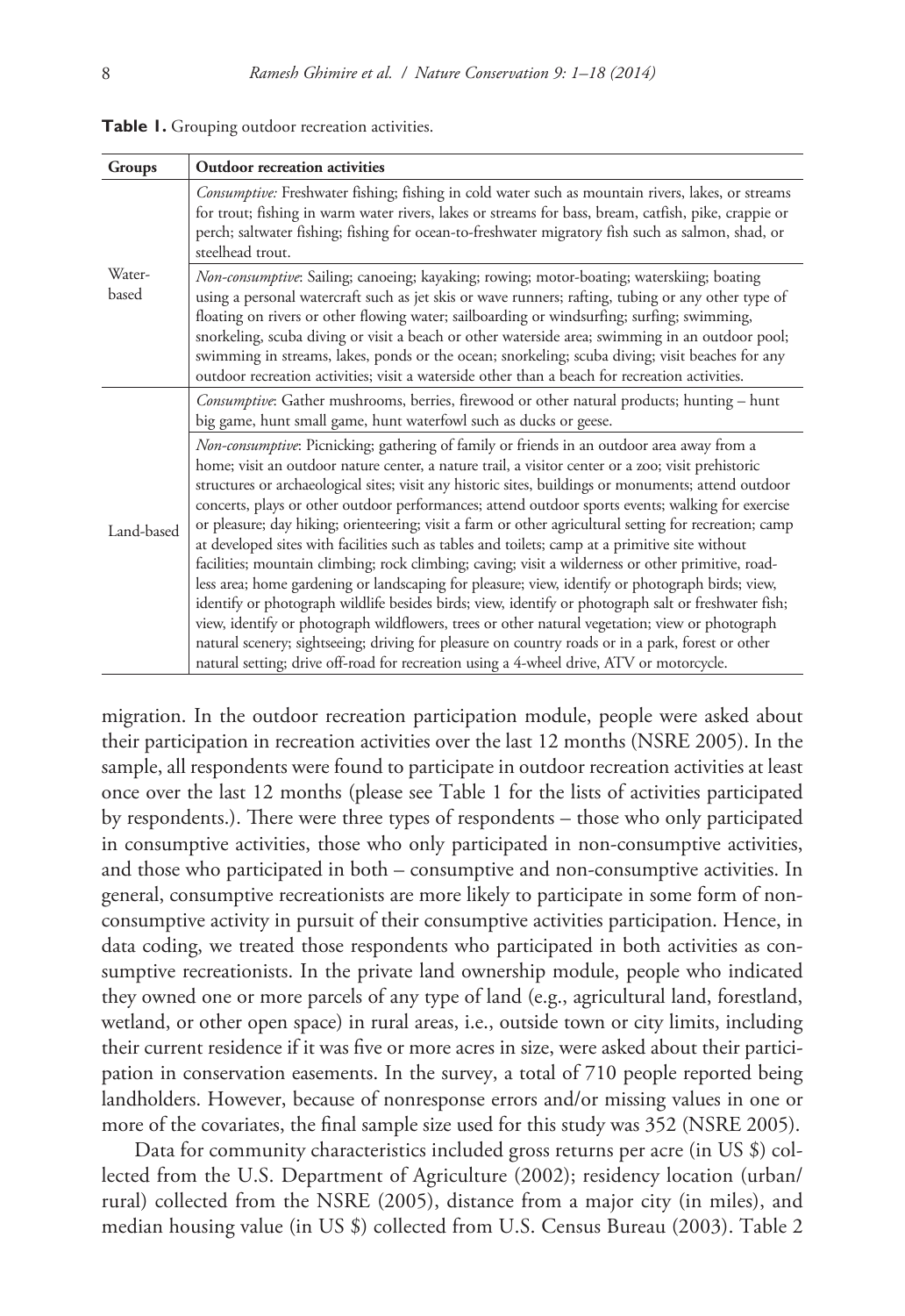| Groups          | Outdoor recreation activities                                                                                                                                                                                                                                                                                                                                                                                                                                                                                                                                                                                                                                                                                                                                                                                                                                                                                                                                                                                                                                                                                                                                                                                                                    |
|-----------------|--------------------------------------------------------------------------------------------------------------------------------------------------------------------------------------------------------------------------------------------------------------------------------------------------------------------------------------------------------------------------------------------------------------------------------------------------------------------------------------------------------------------------------------------------------------------------------------------------------------------------------------------------------------------------------------------------------------------------------------------------------------------------------------------------------------------------------------------------------------------------------------------------------------------------------------------------------------------------------------------------------------------------------------------------------------------------------------------------------------------------------------------------------------------------------------------------------------------------------------------------|
|                 | Consumptive: Freshwater fishing; fishing in cold water such as mountain rivers, lakes, or streams<br>for trout; fishing in warm water rivers, lakes or streams for bass, bream, catfish, pike, crappie or<br>perch; saltwater fishing; fishing for ocean-to-freshwater migratory fish such as salmon, shad, or<br>steelhead trout.                                                                                                                                                                                                                                                                                                                                                                                                                                                                                                                                                                                                                                                                                                                                                                                                                                                                                                               |
| Water-<br>based | Non-consumptive: Sailing; canoeing; kayaking; rowing; motor-boating; waterskiing; boating<br>using a personal watercraft such as jet skis or wave runners; rafting, tubing or any other type of<br>floating on rivers or other flowing water; sailboarding or windsurfing; surfing; swimming,<br>snorkeling, scuba diving or visit a beach or other waterside area; swimming in an outdoor pool;<br>swimming in streams, lakes, ponds or the ocean; snorkeling; scuba diving; visit beaches for any<br>outdoor recreation activities; visit a waterside other than a beach for recreation activities.                                                                                                                                                                                                                                                                                                                                                                                                                                                                                                                                                                                                                                            |
| Land-based      | <i>Consumptive</i> : Gather mushrooms, berries, firewood or other natural products; hunting – hunt<br>big game, hunt small game, hunt waterfowl such as ducks or geese.                                                                                                                                                                                                                                                                                                                                                                                                                                                                                                                                                                                                                                                                                                                                                                                                                                                                                                                                                                                                                                                                          |
|                 | Non-consumptive: Picnicking; gathering of family or friends in an outdoor area away from a<br>home; visit an outdoor nature center, a nature trail, a visitor center or a zoo; visit prehistoric<br>structures or archaeological sites; visit any historic sites, buildings or monuments; attend outdoor<br>concerts, plays or other outdoor performances; attend outdoor sports events; walking for exercise<br>or pleasure; day hiking; orienteering; visit a farm or other agricultural setting for recreation; camp<br>at developed sites with facilities such as tables and toilets; camp at a primitive site without<br>facilities; mountain climbing; rock climbing; caving; visit a wilderness or other primitive, road-<br>less area; home gardening or landscaping for pleasure; view, identify or photograph birds; view,<br>identify or photograph wildlife besides birds; view, identify or photograph salt or freshwater fish;<br>view, identify or photograph wildflowers, trees or other natural vegetation; view or photograph<br>natural scenery; sightseeing; driving for pleasure on country roads or in a park, forest or other<br>natural setting; drive off-road for recreation using a 4-wheel drive, ATV or motorcycle. |

**Table 1.** Grouping outdoor recreation activities.

migration. In the outdoor recreation participation module, people were asked about their participation in recreation activities over the last 12 months (NSRE 2005). In the sample, all respondents were found to participate in outdoor recreation activities at least once over the last 12 months (please see Table 1 for the lists of activities participated by respondents.). There were three types of respondents – those who only participated in consumptive activities, those who only participated in non-consumptive activities, and those who participated in both – consumptive and non-consumptive activities. In general, consumptive recreationists are more likely to participate in some form of nonconsumptive activity in pursuit of their consumptive activities participation. Hence, in data coding, we treated those respondents who participated in both activities as consumptive recreationists. In the private land ownership module, people who indicated they owned one or more parcels of any type of land (e.g., agricultural land, forestland, wetland, or other open space) in rural areas, i.e., outside town or city limits, including their current residence if it was five or more acres in size, were asked about their participation in conservation easements. In the survey, a total of 710 people reported being landholders. However, because of nonresponse errors and/or missing values in one or more of the covariates, the final sample size used for this study was 352 (NSRE 2005).

Data for community characteristics included gross returns per acre (in US \$) collected from the U.S. Department of Agriculture (2002); residency location (urban/ rural) collected from the NSRE (2005), distance from a major city (in miles), and median housing value (in US \$) collected from U.S. Census Bureau (2003). Table 2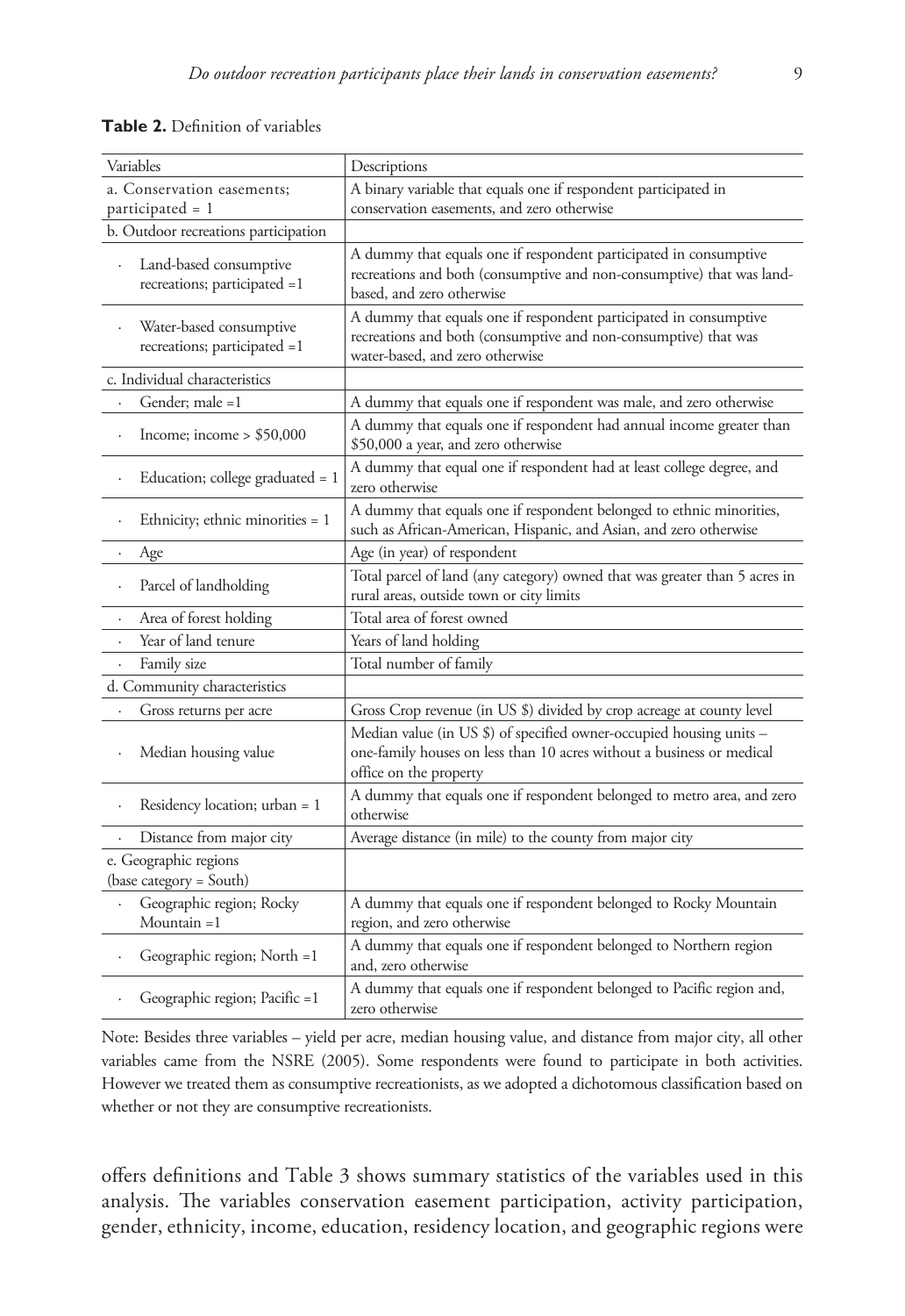#### **Table 2.** Definition of variables

| Variables                                               | Descriptions                                                                                                                                                            |
|---------------------------------------------------------|-------------------------------------------------------------------------------------------------------------------------------------------------------------------------|
| a. Conservation easements;<br>participated = 1          | A binary variable that equals one if respondent participated in<br>conservation easements, and zero otherwise                                                           |
| b. Outdoor recreations participation                    |                                                                                                                                                                         |
| Land-based consumptive<br>recreations; participated =1  | A dummy that equals one if respondent participated in consumptive<br>recreations and both (consumptive and non-consumptive) that was land-<br>based, and zero otherwise |
| Water-based consumptive<br>recreations; participated =1 | A dummy that equals one if respondent participated in consumptive<br>recreations and both (consumptive and non-consumptive) that was<br>water-based, and zero otherwise |
| c. Individual characteristics                           |                                                                                                                                                                         |
| Gender; male =1                                         | A dummy that equals one if respondent was male, and zero otherwise                                                                                                      |
| Income; income > \$50,000<br>$\ddot{\phantom{0}}$       | A dummy that equals one if respondent had annual income greater than<br>\$50,000 a year, and zero otherwise                                                             |
| Education; college graduated = 1                        | A dummy that equal one if respondent had at least college degree, and<br>zero otherwise                                                                                 |
| Ethnicity; ethnic minorities = 1                        | A dummy that equals one if respondent belonged to ethnic minorities,<br>such as African-American, Hispanic, and Asian, and zero otherwise                               |
| Age                                                     | Age (in year) of respondent                                                                                                                                             |
| Parcel of landholding                                   | Total parcel of land (any category) owned that was greater than 5 acres in<br>rural areas, outside town or city limits                                                  |
| Area of forest holding<br>$\ddot{\phantom{0}}$          | Total area of forest owned                                                                                                                                              |
| Year of land tenure                                     | Years of land holding                                                                                                                                                   |
| Family size                                             | Total number of family                                                                                                                                                  |
| d. Community characteristics                            |                                                                                                                                                                         |
| Gross returns per acre                                  | Gross Crop revenue (in US \$) divided by crop acreage at county level                                                                                                   |
| Median housing value                                    | Median value (in US \$) of specified owner-occupied housing units -<br>one-family houses on less than 10 acres without a business or medical<br>office on the property  |
| Residency location; urban = 1                           | A dummy that equals one if respondent belonged to metro area, and zero<br>otherwise                                                                                     |
| Distance from major city                                | Average distance (in mile) to the county from major city                                                                                                                |
| e. Geographic regions<br>(base category = South)        |                                                                                                                                                                         |
| Geographic region; Rocky<br>Mountain $=1$               | A dummy that equals one if respondent belonged to Rocky Mountain<br>region, and zero otherwise                                                                          |
| Geographic region; North =1                             | A dummy that equals one if respondent belonged to Northern region<br>and, zero otherwise                                                                                |
| Geographic region; Pacific =1                           | A dummy that equals one if respondent belonged to Pacific region and,<br>zero otherwise                                                                                 |

Note: Besides three variables – yield per acre, median housing value, and distance from major city, all other variables came from the NSRE (2005). Some respondents were found to participate in both activities. However we treated them as consumptive recreationists, as we adopted a dichotomous classification based on whether or not they are consumptive recreationists.

offers definitions and Table 3 shows summary statistics of the variables used in this analysis. The variables conservation easement participation, activity participation, gender, ethnicity, income, education, residency location, and geographic regions were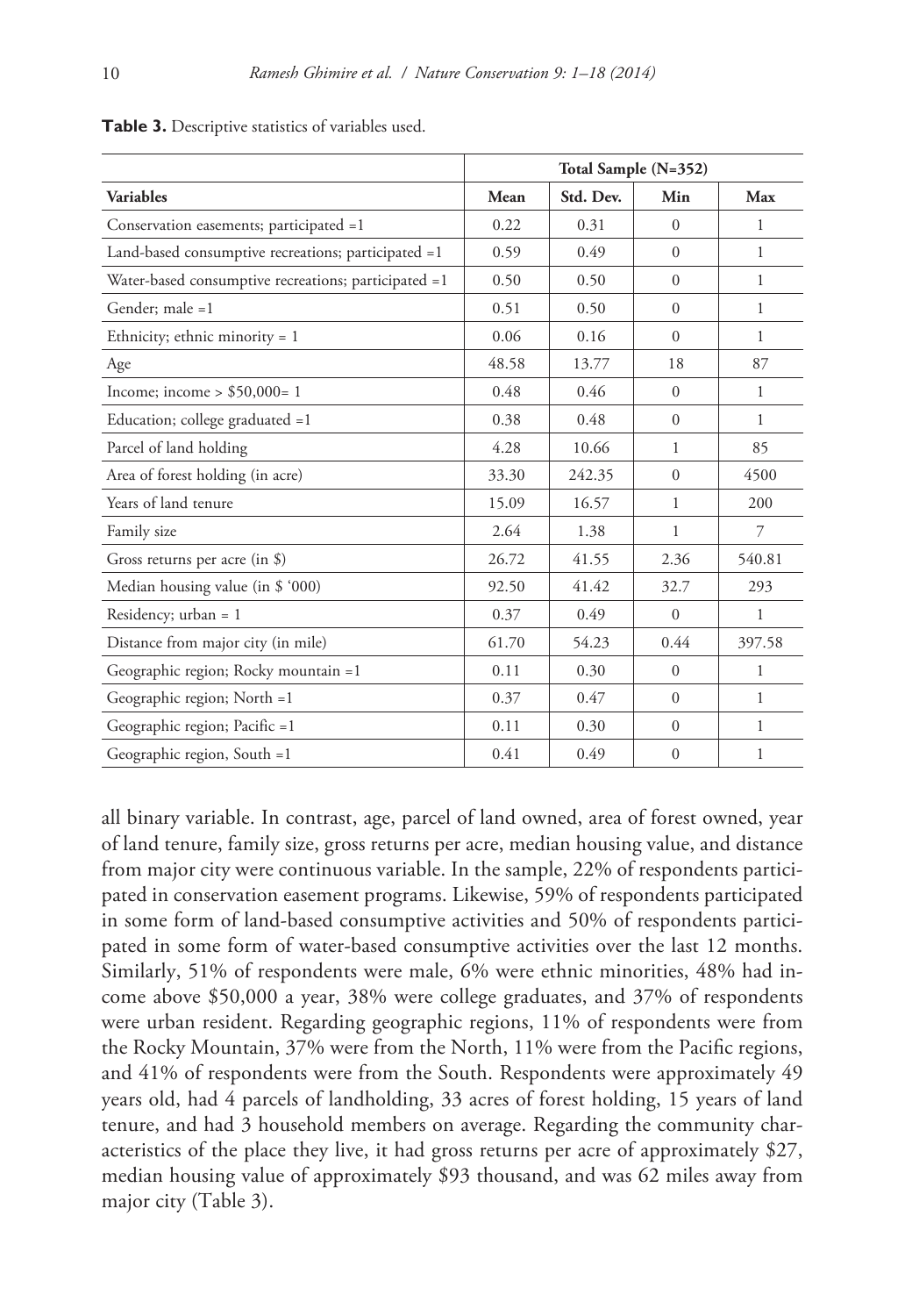|                                                      | Total Sample (N=352) |           |              |              |
|------------------------------------------------------|----------------------|-----------|--------------|--------------|
| <b>Variables</b>                                     | Mean                 | Std. Dev. | Min          | Max          |
| Conservation easements; participated =1              | 0.22                 | 0.31      | $\Omega$     | 1            |
| Land-based consumptive recreations; participated =1  | 0.59                 | 0.49      | $\Omega$     | 1            |
| Water-based consumptive recreations; participated =1 | 0.50                 | 0.50      | $\Omega$     | 1            |
| Gender: male =1                                      | 0.51                 | 0.50      | $\Omega$     | $\mathbf{1}$ |
| Ethnicity; ethnic minority = $1$                     | 0.06                 | 0.16      | $\Omega$     | 1            |
| Age                                                  | 48.58                | 13.77     | 18           | 87           |
| Income; income $>$ \$50,000= 1                       | 0.48                 | 0.46      | $\Omega$     | 1            |
| Education; college graduated =1                      | 0.38                 | 0.48      | $\Omega$     | 1            |
| Parcel of land holding                               | 4.28                 | 10.66     | $\mathbf{1}$ | 85           |
| Area of forest holding (in acre)                     | 33.30                | 242.35    | $\Omega$     | 4500         |
| Years of land tenure                                 | 15.09                | 16.57     | 1            | 200          |
| Family size                                          | 2.64                 | 1.38      | 1            | 7            |
| Gross returns per acre (in $\$ )                     | 26.72                | 41.55     | 2.36         | 540.81       |
| Median housing value (in \$ '000)                    | 92.50                | 41.42     | 32.7         | 293          |
| Residency; $urban = 1$                               | 0.37                 | 0.49      | $\Omega$     | 1            |
| Distance from major city (in mile)                   | 61.70                | 54.23     | 0.44         | 397.58       |
| Geographic region; Rocky mountain =1                 | 0.11                 | 0.30      | $\Omega$     | 1            |
| Geographic region; North =1                          | 0.37                 | 0.47      | $\Omega$     | 1            |
| Geographic region; Pacific =1                        | 0.11                 | 0.30      | $\mathbf{0}$ | $\mathbf{1}$ |
| Geographic region, South =1                          | 0.41                 | 0.49      | $\mathbf{0}$ | 1            |

**Table 3.** Descriptive statistics of variables used.

all binary variable. In contrast, age, parcel of land owned, area of forest owned, year of land tenure, family size, gross returns per acre, median housing value, and distance from major city were continuous variable. In the sample, 22% of respondents participated in conservation easement programs. Likewise, 59% of respondents participated in some form of land-based consumptive activities and 50% of respondents participated in some form of water-based consumptive activities over the last 12 months. Similarly, 51% of respondents were male, 6% were ethnic minorities, 48% had income above \$50,000 a year, 38% were college graduates, and 37% of respondents were urban resident. Regarding geographic regions, 11% of respondents were from the Rocky Mountain, 37% were from the North, 11% were from the Pacific regions, and 41% of respondents were from the South. Respondents were approximately 49 years old, had 4 parcels of landholding, 33 acres of forest holding, 15 years of land tenure, and had 3 household members on average. Regarding the community characteristics of the place they live, it had gross returns per acre of approximately \$27, median housing value of approximately \$93 thousand, and was 62 miles away from major city (Table 3).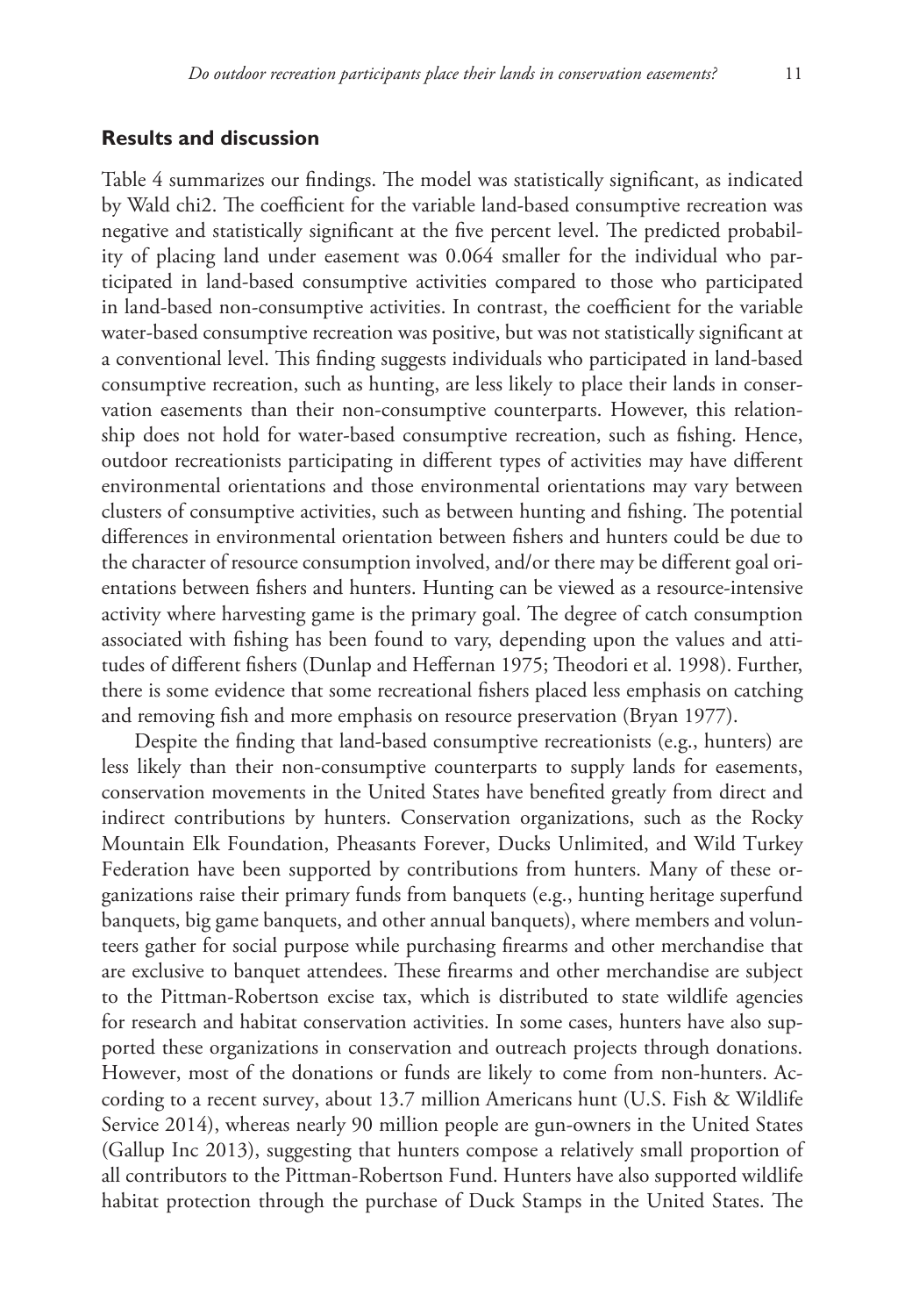### **Results and discussion**

Table 4 summarizes our findings. The model was statistically significant, as indicated by Wald chi2. The coefficient for the variable land-based consumptive recreation was negative and statistically significant at the five percent level. The predicted probability of placing land under easement was 0.064 smaller for the individual who participated in land-based consumptive activities compared to those who participated in land-based non-consumptive activities. In contrast, the coefficient for the variable water-based consumptive recreation was positive, but was not statistically significant at a conventional level. This finding suggests individuals who participated in land-based consumptive recreation, such as hunting, are less likely to place their lands in conservation easements than their non-consumptive counterparts. However, this relationship does not hold for water-based consumptive recreation, such as fishing. Hence, outdoor recreationists participating in different types of activities may have different environmental orientations and those environmental orientations may vary between clusters of consumptive activities, such as between hunting and fishing. The potential differences in environmental orientation between fishers and hunters could be due to the character of resource consumption involved, and/or there may be different goal orientations between fishers and hunters. Hunting can be viewed as a resource-intensive activity where harvesting game is the primary goal. The degree of catch consumption associated with fishing has been found to vary, depending upon the values and attitudes of different fishers (Dunlap and Heffernan 1975; Theodori et al. 1998). Further, there is some evidence that some recreational fishers placed less emphasis on catching and removing fish and more emphasis on resource preservation (Bryan 1977).

Despite the finding that land-based consumptive recreationists (e.g., hunters) are less likely than their non-consumptive counterparts to supply lands for easements, conservation movements in the United States have benefited greatly from direct and indirect contributions by hunters. Conservation organizations, such as the Rocky Mountain Elk Foundation, Pheasants Forever, Ducks Unlimited, and Wild Turkey Federation have been supported by contributions from hunters. Many of these organizations raise their primary funds from banquets (e.g., hunting heritage superfund banquets, big game banquets, and other annual banquets), where members and volunteers gather for social purpose while purchasing firearms and other merchandise that are exclusive to banquet attendees. These firearms and other merchandise are subject to the Pittman-Robertson excise tax, which is distributed to state wildlife agencies for research and habitat conservation activities. In some cases, hunters have also supported these organizations in conservation and outreach projects through donations. However, most of the donations or funds are likely to come from non-hunters. According to a recent survey, about 13.7 million Americans hunt (U.S. Fish & Wildlife Service 2014), whereas nearly 90 million people are gun-owners in the United States (Gallup Inc 2013), suggesting that hunters compose a relatively small proportion of all contributors to the Pittman-Robertson Fund. Hunters have also supported wildlife habitat protection through the purchase of Duck Stamps in the United States. The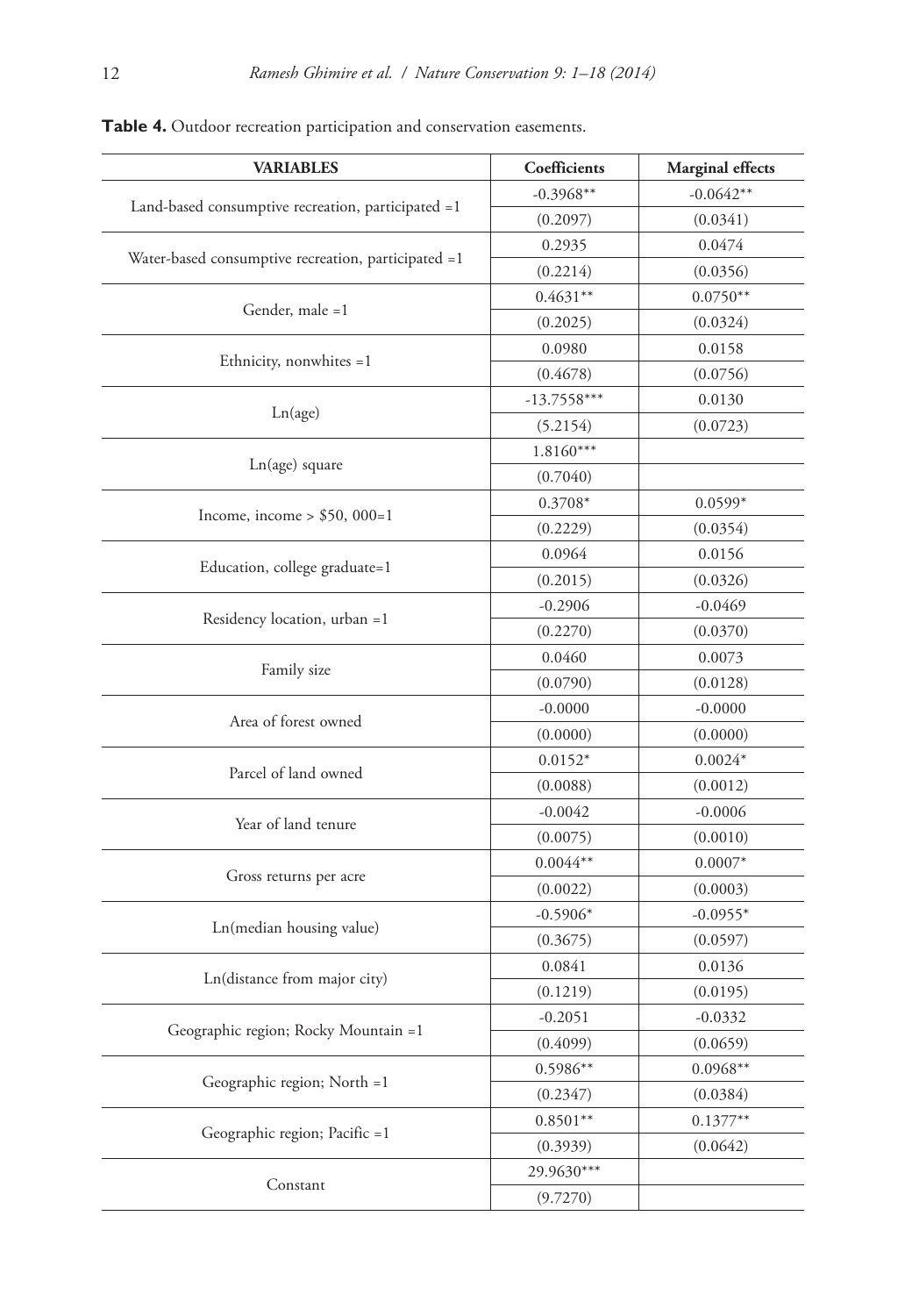| <b>VARIABLES</b>                                    | Coefficients  | Marginal effects |
|-----------------------------------------------------|---------------|------------------|
|                                                     | $-0.3968**$   | $-0.0642**$      |
| Land-based consumptive recreation, participated =1  | (0.2097)      | (0.0341)         |
|                                                     | 0.2935        | 0.0474           |
| Water-based consumptive recreation, participated =1 | (0.2214)      | (0.0356)         |
|                                                     | $0.4631**$    | $0.0750**$       |
| Gender, male =1                                     | (0.2025)      | (0.0324)         |
|                                                     | 0.0980        | 0.0158           |
| Ethnicity, nonwhites =1                             | (0.4678)      | (0.0756)         |
|                                                     | $-13.7558***$ | 0.0130           |
| Ln(age)                                             | (5.2154)      | (0.0723)         |
|                                                     | $1.8160***$   |                  |
| Ln(age) square                                      | (0.7040)      |                  |
|                                                     | $0.3708*$     | $0.0599*$        |
| Income, income $> $50,000=1$                        | (0.2229)      | (0.0354)         |
|                                                     | 0.0964        | 0.0156           |
| Education, college graduate=1                       | (0.2015)      | (0.0326)         |
|                                                     | $-0.2906$     | $-0.0469$        |
| Residency location, urban =1                        | (0.2270)      | (0.0370)         |
|                                                     | 0.0460        | 0.0073           |
| Family size                                         | (0.0790)      | (0.0128)         |
|                                                     | $-0.0000$     | $-0.0000$        |
| Area of forest owned                                | (0.0000)      | (0.0000)         |
|                                                     | $0.0152*$     | $0.0024*$        |
| Parcel of land owned                                | (0.0088)      | (0.0012)         |
| Year of land tenure                                 | $-0.0042$     | $-0.0006$        |
|                                                     | (0.0075)      | (0.0010)         |
|                                                     | $0.0044**$    | $0.0007*$        |
| Gross returns per acre                              | (0.0022)      | (0.0003)         |
|                                                     | $-0.5906*$    | $-0.0955*$       |
| Ln(median housing value)                            | (0.3675)      | (0.0597)         |
|                                                     | 0.0841        | 0.0136           |
| Ln(distance from major city)                        | (0.1219)      | (0.0195)         |
| Geographic region; Rocky Mountain =1                | $-0.2051$     | $-0.0332$        |
|                                                     | (0.4099)      | (0.0659)         |
| Geographic region; North =1                         | $0.5986**$    | $0.0968**$       |
|                                                     | (0.2347)      | (0.0384)         |
| Geographic region; Pacific =1                       | $0.8501**$    | $0.1377**$       |
|                                                     | (0.3939)      | (0.0642)         |
| Constant                                            | 29.9630***    |                  |
|                                                     | (9.7270)      |                  |

## **Table 4.** Outdoor recreation participation and conservation easements.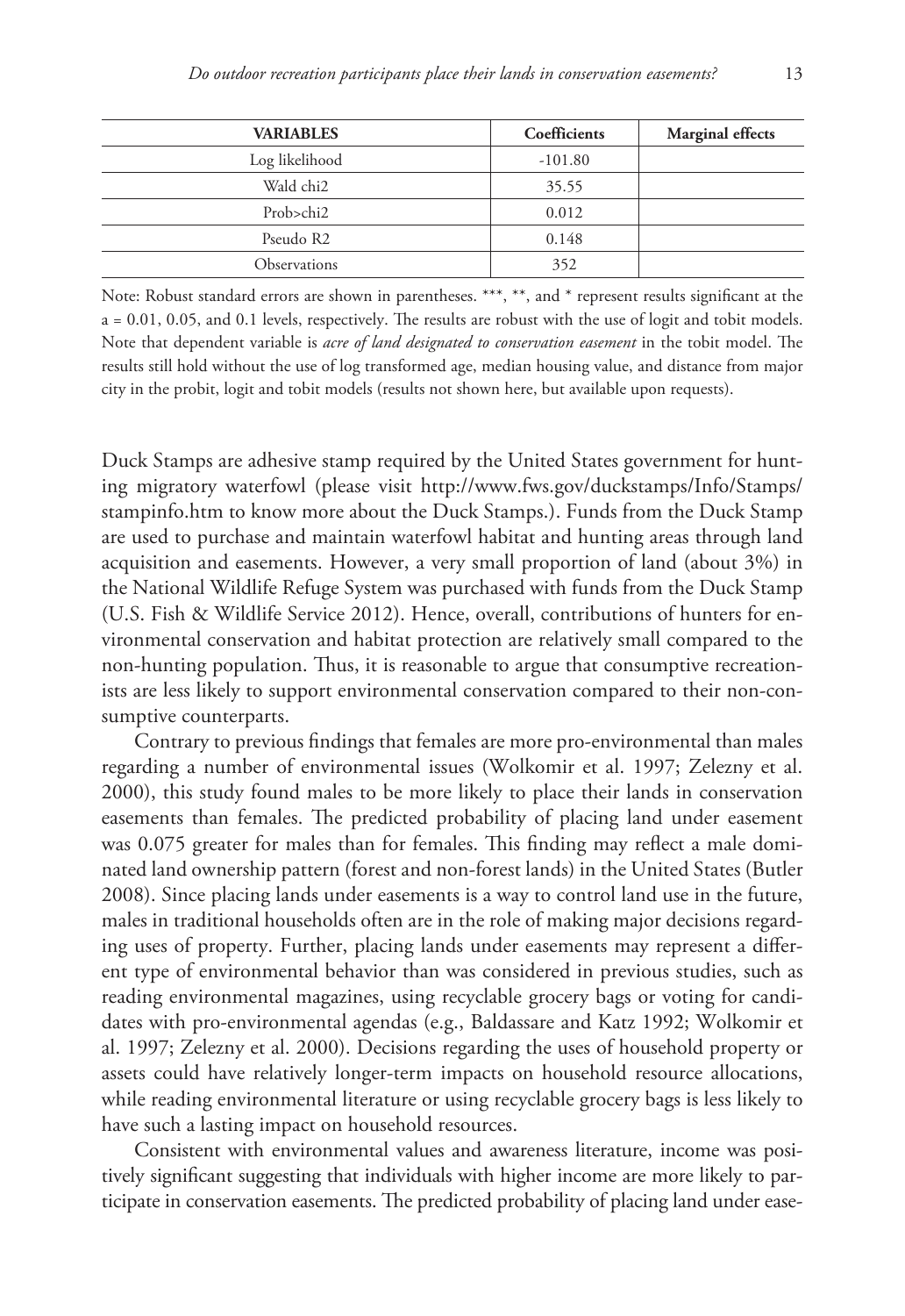| <b>VARIABLES</b>      | Coefficients | <b>Marginal effects</b> |
|-----------------------|--------------|-------------------------|
| Log likelihood        | $-101.80$    |                         |
| Wald chi <sub>2</sub> | 35.55        |                         |
| Prob>chi2             | 0.012        |                         |
| Pseudo R2             | 0.148        |                         |
| Observations          | 352          |                         |

Note: Robust standard errors are shown in parentheses. \*\*\*, \*\*, and \* represent results significant at the a = 0.01, 0.05, and 0.1 levels, respectively. The results are robust with the use of logit and tobit models. Note that dependent variable is *acre of land designated to conservation easement* in the tobit model. The results still hold without the use of log transformed age, median housing value, and distance from major city in the probit, logit and tobit models (results not shown here, but available upon requests).

Duck Stamps are adhesive stamp required by the United States government for hunting migratory waterfowl (please visit [http://www.fws.gov/duckstamps/Info/Stamps/](http://www.fws.gov/duckstamps/Info/Stamps/stampinfo.htm) [stampinfo.htm](http://www.fws.gov/duckstamps/Info/Stamps/stampinfo.htm) to know more about the Duck Stamps.). Funds from the Duck Stamp are used to purchase and maintain waterfowl habitat and hunting areas through land acquisition and easements. However, a very small proportion of land (about 3%) in the National Wildlife Refuge System was purchased with funds from the Duck Stamp (U.S. Fish & Wildlife Service 2012). Hence, overall, contributions of hunters for environmental conservation and habitat protection are relatively small compared to the non-hunting population. Thus, it is reasonable to argue that consumptive recreationists are less likely to support environmental conservation compared to their non-consumptive counterparts.

Contrary to previous findings that females are more pro-environmental than males regarding a number of environmental issues (Wolkomir et al. 1997; Zelezny et al. 2000), this study found males to be more likely to place their lands in conservation easements than females. The predicted probability of placing land under easement was 0.075 greater for males than for females. This finding may reflect a male dominated land ownership pattern (forest and non-forest lands) in the United States (Butler 2008). Since placing lands under easements is a way to control land use in the future, males in traditional households often are in the role of making major decisions regarding uses of property. Further, placing lands under easements may represent a different type of environmental behavior than was considered in previous studies, such as reading environmental magazines, using recyclable grocery bags or voting for candidates with pro-environmental agendas (e.g., Baldassare and Katz 1992; Wolkomir et al. 1997; Zelezny et al. 2000). Decisions regarding the uses of household property or assets could have relatively longer-term impacts on household resource allocations, while reading environmental literature or using recyclable grocery bags is less likely to have such a lasting impact on household resources.

Consistent with environmental values and awareness literature, income was positively significant suggesting that individuals with higher income are more likely to participate in conservation easements. The predicted probability of placing land under ease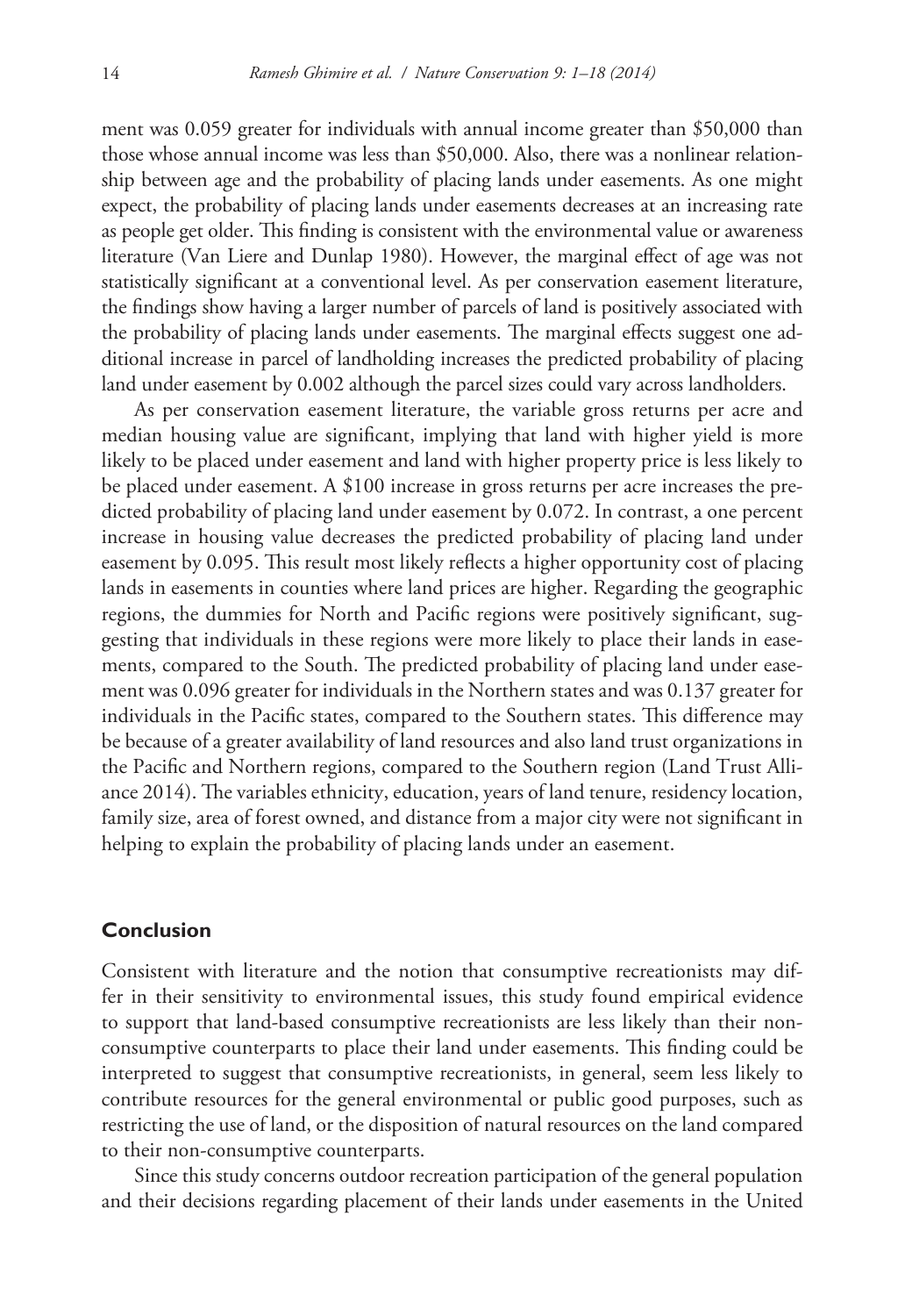ment was 0.059 greater for individuals with annual income greater than \$50,000 than those whose annual income was less than \$50,000. Also, there was a nonlinear relationship between age and the probability of placing lands under easements. As one might expect, the probability of placing lands under easements decreases at an increasing rate as people get older. This finding is consistent with the environmental value or awareness literature (Van Liere and Dunlap 1980). However, the marginal effect of age was not statistically significant at a conventional level. As per conservation easement literature, the findings show having a larger number of parcels of land is positively associated with the probability of placing lands under easements. The marginal effects suggest one additional increase in parcel of landholding increases the predicted probability of placing land under easement by 0.002 although the parcel sizes could vary across landholders.

As per conservation easement literature, the variable gross returns per acre and median housing value are significant, implying that land with higher yield is more likely to be placed under easement and land with higher property price is less likely to be placed under easement. A \$100 increase in gross returns per acre increases the predicted probability of placing land under easement by 0.072. In contrast, a one percent increase in housing value decreases the predicted probability of placing land under easement by 0.095. This result most likely reflects a higher opportunity cost of placing lands in easements in counties where land prices are higher. Regarding the geographic regions, the dummies for North and Pacific regions were positively significant, suggesting that individuals in these regions were more likely to place their lands in easements, compared to the South. The predicted probability of placing land under easement was 0.096 greater for individuals in the Northern states and was 0.137 greater for individuals in the Pacific states, compared to the Southern states. This difference may be because of a greater availability of land resources and also land trust organizations in the Pacific and Northern regions, compared to the Southern region (Land Trust Alliance 2014). The variables ethnicity, education, years of land tenure, residency location, family size, area of forest owned, and distance from a major city were not significant in helping to explain the probability of placing lands under an easement.

#### **Conclusion**

Consistent with literature and the notion that consumptive recreationists may differ in their sensitivity to environmental issues, this study found empirical evidence to support that land-based consumptive recreationists are less likely than their nonconsumptive counterparts to place their land under easements. This finding could be interpreted to suggest that consumptive recreationists, in general, seem less likely to contribute resources for the general environmental or public good purposes, such as restricting the use of land, or the disposition of natural resources on the land compared to their non-consumptive counterparts.

Since this study concerns outdoor recreation participation of the general population and their decisions regarding placement of their lands under easements in the United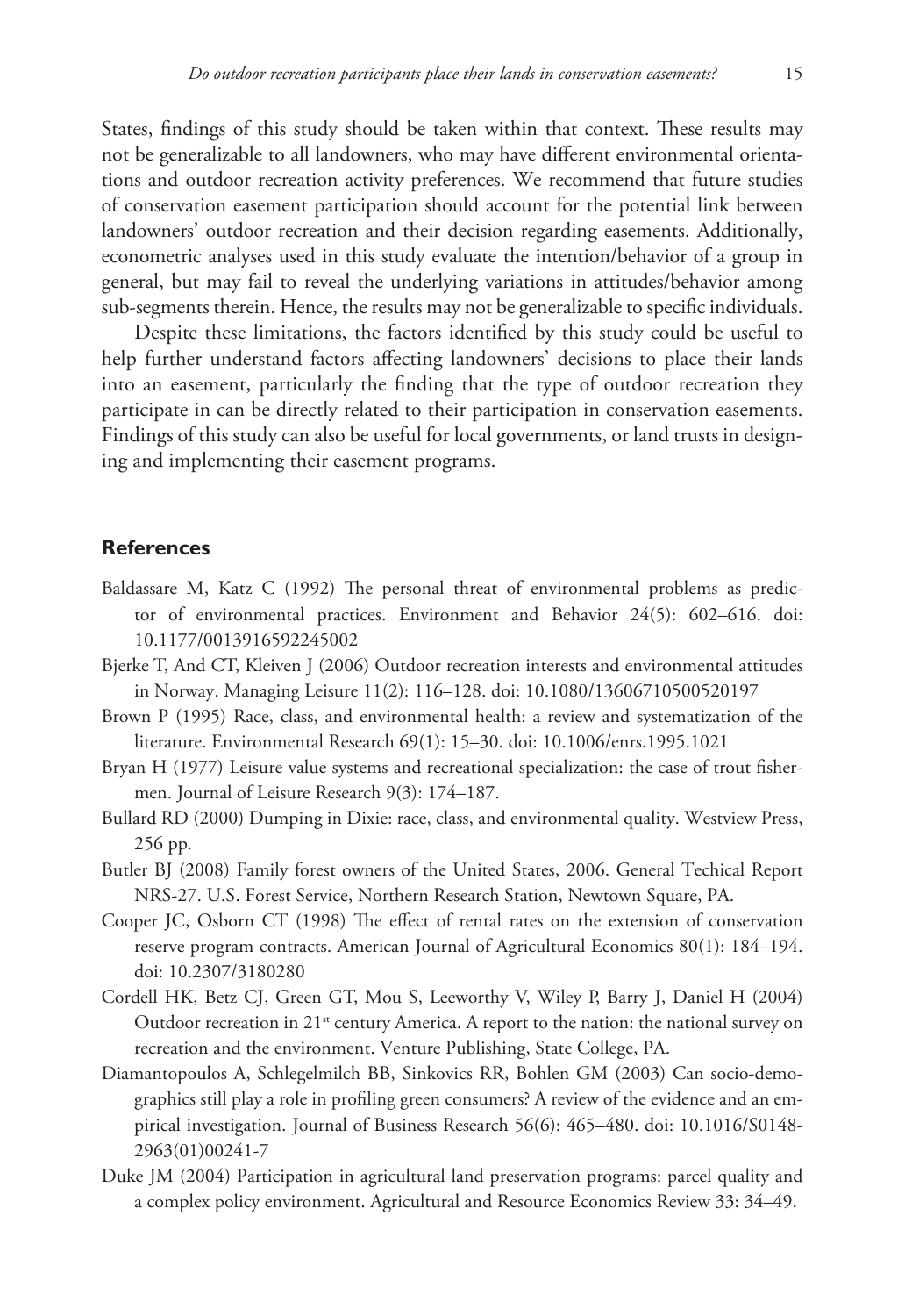States, findings of this study should be taken within that context. These results may not be generalizable to all landowners, who may have different environmental orientations and outdoor recreation activity preferences. We recommend that future studies of conservation easement participation should account for the potential link between landowners' outdoor recreation and their decision regarding easements. Additionally, econometric analyses used in this study evaluate the intention/behavior of a group in general, but may fail to reveal the underlying variations in attitudes/behavior among sub-segments therein. Hence, the results may not be generalizable to specific individuals.

Despite these limitations, the factors identified by this study could be useful to help further understand factors affecting landowners' decisions to place their lands into an easement, particularly the finding that the type of outdoor recreation they participate in can be directly related to their participation in conservation easements. Findings of this study can also be useful for local governments, or land trusts in designing and implementing their easement programs.

#### **References**

- Baldassare M, Katz C (1992) The personal threat of environmental problems as predictor of environmental practices. Environment and Behavior 24(5): 602–616. [doi:](http://dx.doi.org/10.1177/0013916592245002) [10.1177/0013916592245002](http://dx.doi.org/10.1177/0013916592245002)
- Bjerke T, And CT, Kleiven J (2006) Outdoor recreation interests and environmental attitudes in Norway. Managing Leisure 11(2): 116–128. [doi: 10.1080/13606710500520197](http://dx.doi.org/10.1080/13606710500520197)
- Brown P (1995) Race, class, and environmental health: a review and systematization of the literature. Environmental Research 69(1): 15–30. [doi: 10.1006/enrs.1995.1021](http://dx.doi.org/10.1006/enrs.1995.1021)
- Bryan H (1977) Leisure value systems and recreational specialization: the case of trout fishermen. Journal of Leisure Research 9(3): 174–187.
- Bullard RD (2000) Dumping in Dixie: race, class, and environmental quality. Westview Press, 256 pp.
- Butler BJ (2008) Family forest owners of the United States, 2006. General Techical Report NRS-27. U.S. Forest Service, Northern Research Station, Newtown Square, PA.
- Cooper JC, Osborn CT (1998) The effect of rental rates on the extension of conservation reserve program contracts. American Journal of Agricultural Economics 80(1): 184–194. [doi: 10.2307/3180280](http://dx.doi.org/10.2307/3180280)
- Cordell HK, Betz CJ, Green GT, Mou S, Leeworthy V, Wiley P, Barry J, Daniel H (2004) Outdoor recreation in 21<sup>st</sup> century America. A report to the nation: the national survey on recreation and the environment. Venture Publishing, State College, PA.
- Diamantopoulos A, Schlegelmilch BB, Sinkovics RR, Bohlen GM (2003) Can socio-demographics still play a role in profiling green consumers? A review of the evidence and an empirical investigation. Journal of Business Research 56(6): 465–480. [doi: 10.1016/S0148-](http://dx.doi.org/10.1016/S0148-2963(01)00241-7) [2963\(01\)00241-7](http://dx.doi.org/10.1016/S0148-2963(01)00241-7)
- Duke JM (2004) Participation in agricultural land preservation programs: parcel quality and a complex policy environment. Agricultural and Resource Economics Review 33: 34–49.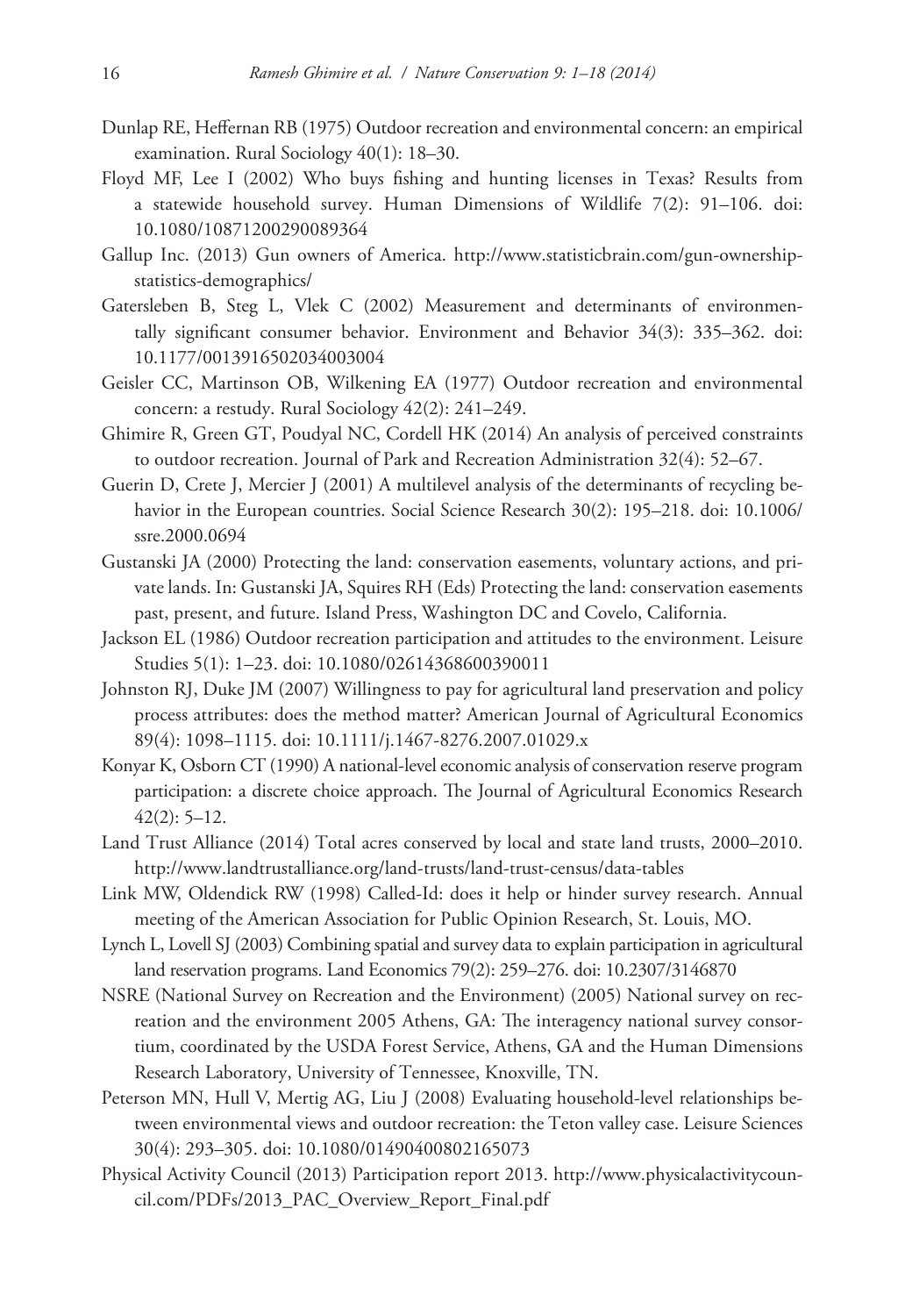- Dunlap RE, Heffernan RB (1975) Outdoor recreation and environmental concern: an empirical examination. Rural Sociology 40(1): 18–30.
- Floyd MF, Lee I (2002) Who buys fishing and hunting licenses in Texas? Results from a statewide household survey. Human Dimensions of Wildlife 7(2): 91–106. [doi:](http://dx.doi.org/10.1080/10871200290089364) [10.1080/10871200290089364](http://dx.doi.org/10.1080/10871200290089364)
- Gallup Inc. (2013) Gun owners of America. [http://www.statisticbrain.com/gun-ownership](http://www.statisticbrain.com/gun-ownership-statistics-demographics/)[statistics-demographics/](http://www.statisticbrain.com/gun-ownership-statistics-demographics/)
- Gatersleben B, Steg L, Vlek C (2002) Measurement and determinants of environmentally significant consumer behavior. Environment and Behavior 34(3): 335–362. [doi:](http://dx.doi.org/10.1177/0013916502034003004) [10.1177/0013916502034003004](http://dx.doi.org/10.1177/0013916502034003004)
- Geisler CC, Martinson OB, Wilkening EA (1977) Outdoor recreation and environmental concern: a restudy. Rural Sociology 42(2): 241–249.
- Ghimire R, Green GT, Poudyal NC, Cordell HK (2014) An analysis of perceived constraints to outdoor recreation. Journal of Park and Recreation Administration 32(4): 52–67.
- Guerin D, Crete J, Mercier J (2001) A multilevel analysis of the determinants of recycling behavior in the European countries. Social Science Research 30(2): 195–218. [doi: 10.1006/](http://dx.doi.org/10.1006/ssre.2000.0694) [ssre.2000.0694](http://dx.doi.org/10.1006/ssre.2000.0694)
- Gustanski JA (2000) Protecting the land: conservation easements, voluntary actions, and private lands. In: Gustanski JA, Squires RH (Eds) Protecting the land: conservation easements past, present, and future. Island Press, Washington DC and Covelo, California.
- Jackson EL (1986) Outdoor recreation participation and attitudes to the environment. Leisure Studies 5(1): 1–23. [doi: 10.1080/02614368600390011](http://dx.doi.org/10.1080/02614368600390011)
- Johnston RJ, Duke JM (2007) Willingness to pay for agricultural land preservation and policy process attributes: does the method matter? American Journal of Agricultural Economics 89(4): 1098–1115. [doi: 10.1111/j.1467-8276.2007.01029.x](http://dx.doi.org/10.1111/j.1467-8276.2007.01029.x)
- Konyar K, Osborn CT (1990) A national-level economic analysis of conservation reserve program participation: a discrete choice approach. The Journal of Agricultural Economics Research  $42(2): 5-12.$
- Land Trust Alliance (2014) Total acres conserved by local and state land trusts, 2000–2010. <http://www.landtrustalliance.org/land-trusts/land-trust-census/data-tables>
- Link MW, Oldendick RW (1998) Called-Id: does it help or hinder survey research. Annual meeting of the American Association for Public Opinion Research, St. Louis, MO.
- Lynch L, Lovell SJ (2003) Combining spatial and survey data to explain participation in agricultural land reservation programs. Land Economics 79(2): 259–276. [doi: 10.2307/3146870](http://dx.doi.org/10.2307/3146870)
- NSRE (National Survey on Recreation and the Environment) (2005) National survey on recreation and the environment 2005 Athens, GA: The interagency national survey consortium, coordinated by the USDA Forest Service, Athens, GA and the Human Dimensions Research Laboratory, University of Tennessee, Knoxville, TN.
- Peterson MN, Hull V, Mertig AG, Liu J (2008) Evaluating household-level relationships between environmental views and outdoor recreation: the Teton valley case. Leisure Sciences 30(4): 293–305. [doi: 10.1080/01490400802165073](http://dx.doi.org/10.1080/01490400802165073)
- Physical Activity Council (2013) Participation report 2013. [http://www.physicalactivitycoun](http://www.physicalactivitycouncil.com/PDFs/2013_PAC_Overview_Report_Final.pdf)[cil.com/PDFs/2013\\_PAC\\_Overview\\_Report\\_Final.pdf](http://www.physicalactivitycouncil.com/PDFs/2013_PAC_Overview_Report_Final.pdf)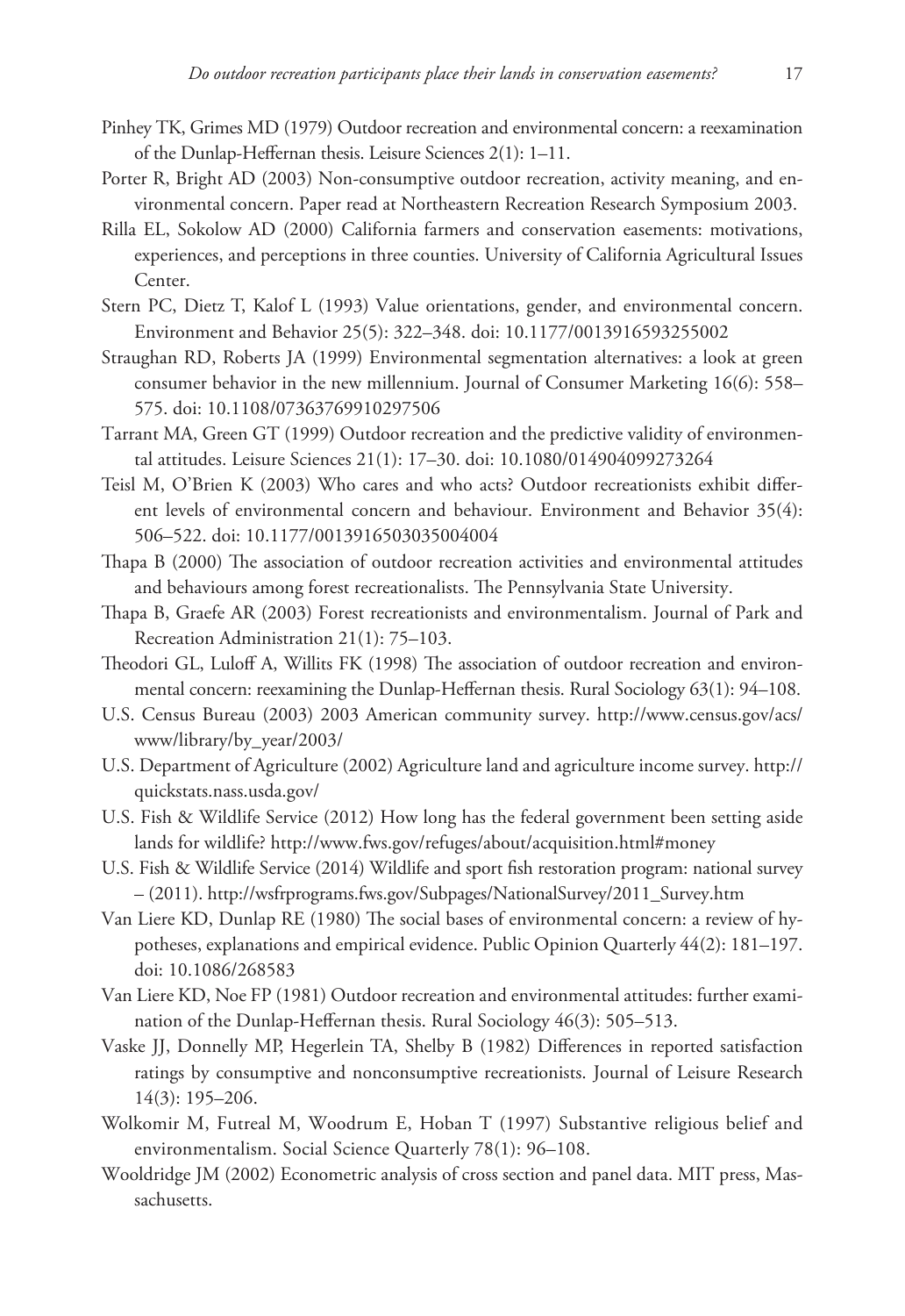- Pinhey TK, Grimes MD (1979) Outdoor recreation and environmental concern: a reexamination of the Dunlap‐Heffernan thesis. Leisure Sciences 2(1): 1–11.
- Porter R, Bright AD (2003) Non-consumptive outdoor recreation, activity meaning, and environmental concern. Paper read at Northeastern Recreation Research Symposium 2003.
- Rilla EL, Sokolow AD (2000) California farmers and conservation easements: motivations, experiences, and perceptions in three counties. University of California Agricultural Issues Center.
- Stern PC, Dietz T, Kalof L (1993) Value orientations, gender, and environmental concern. Environment and Behavior 25(5): 322–348. [doi: 10.1177/0013916593255002](http://dx.doi.org/10.1177/0013916593255002)
- Straughan RD, Roberts JA (1999) Environmental segmentation alternatives: a look at green consumer behavior in the new millennium. Journal of Consumer Marketing 16(6): 558– 575. [doi: 10.1108/07363769910297506](http://dx.doi.org/10.1108/07363769910297506)
- Tarrant MA, Green GT (1999) Outdoor recreation and the predictive validity of environmental attitudes. Leisure Sciences 21(1): 17–30. [doi: 10.1080/014904099273264](http://dx.doi.org/10.1080/014904099273264)
- Teisl M, O'Brien K (2003) Who cares and who acts? Outdoor recreationists exhibit different levels of environmental concern and behaviour. Environment and Behavior 35(4): 506–522. [doi: 10.1177/0013916503035004004](http://dx.doi.org/10.1177/0013916503035004004)
- Thapa B (2000) The association of outdoor recreation activities and environmental attitudes and behaviours among forest recreationalists. The Pennsylvania State University.
- Thapa B, Graefe AR (2003) Forest recreationists and environmentalism. Journal of Park and Recreation Administration 21(1): 75–103.
- Theodori GL, Luloff A, Willits FK (1998) The association of outdoor recreation and environmental concern: reexamining the Dunlap-Heffernan thesis. Rural Sociology 63(1): 94-108.
- U.S. Census Bureau (2003) 2003 American community survey. [http://www.census.gov/acs/](http://www.census.gov/acs/www/library/by_year/2003/) [www/library/by\\_year/2003/](http://www.census.gov/acs/www/library/by_year/2003/)
- U.S. Department of Agriculture (2002) Agriculture land and agriculture income survey. [http://](http://quickstats.nass.usda.gov/) [quickstats.nass.usda.gov/](http://quickstats.nass.usda.gov/)
- U.S. Fish & Wildlife Service (2012) How long has the federal government been setting aside lands for wildlife? <http://www.fws.gov/refuges/about/acquisition.html#money>
- U.S. Fish & Wildlife Service (2014) Wildlife and sport fish restoration program: national survey – (2011). [http://wsfrprograms.fws.gov/Subpages/NationalSurvey/2011\\_Survey.htm](http://wsfrprograms.fws.gov/Subpages/NationalSurvey/2011_Survey.htm)
- Van Liere KD, Dunlap RE (1980) The social bases of environmental concern: a review of hypotheses, explanations and empirical evidence. Public Opinion Quarterly 44(2): 181–197. [doi: 10.1086/268583](http://dx.doi.org/10.1086/268583)
- Van Liere KD, Noe FP (1981) Outdoor recreation and environmental attitudes: further examination of the Dunlap-Heffernan thesis. Rural Sociology 46(3): 505–513.
- Vaske JJ, Donnelly MP, Hegerlein TA, Shelby B (1982) Differences in reported satisfaction ratings by consumptive and nonconsumptive recreationists. Journal of Leisure Research 14(3): 195–206.
- Wolkomir M, Futreal M, Woodrum E, Hoban T (1997) Substantive religious belief and environmentalism. Social Science Quarterly 78(1): 96–108.
- Wooldridge JM (2002) Econometric analysis of cross section and panel data. MIT press, Massachusetts.